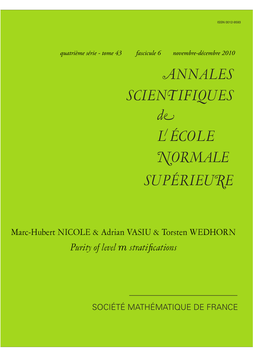*quatrième série - tome 43 fascicule 6 novembre-décembre 2010*

*ANNALES SCIENTIFIQUES SUPÉRIEURE de L ÉCOLE NORMALE*

Marc-Hubert NICOLE & Adrian VASIU & Torsten WEDHORN *Purity of level m stratifications*

SOCIÉTÉ MATHÉMATIQUE DE FRANCE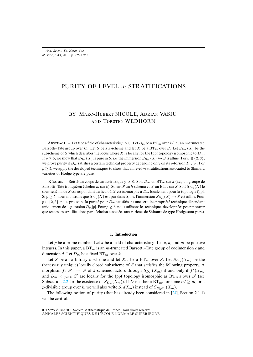# PURITY OF LEVEL *m* STRATIFICATIONS

# BY MARC-HUBERT NICOLE, ADRIAN VASIU AND TORSTEN WEDHORN

ABSTRACT. – Let k be a field of characteristic  $p > 0$ . Let  $D_m$  be a BT<sub>m</sub> over k (i.e., an m-truncated Barsotti–Tate group over k). Let S be a k-scheme and let X be a  $BT_m$  over S. Let  $S_{D_m}(X)$  be the subscheme of S which describes the locus where X is locally for the fppf topology isomorphic to  $D_m$ . If  $p \ge 5$ , we show that  $S_{D_m}(X)$  is pure in S, i.e. the immersion  $S_{D_m}(X) \hookrightarrow S$  is affine. For  $p \in \{2,3\}$ , we prove purity if D*<sup>m</sup>* satisfies a certain technical property depending only on its p-torsion D*m*[p]. For  $p \geq 5$ , we apply the developed techniques to show that all level m stratifications associated to Shimura varieties of Hodge type are pure.

Résumé. – Soit k un corps de caractéristique  $p > 0$ . Soit  $D_m$  un BT<sub>m</sub> sur k (i.e., un groupe de Barsotti–Tate tronqué en échelon m sur k). Soient S un k-schéma et X un BT<sub>m</sub> sur S. Soit  $S_{D_m}(X)$  le sous-schéma de S correspondant au lieu où X est isomorphe à D*<sup>m</sup>* localement pour la topologie fppf. Si  $p \ge 5$ , nous montrons que  $S_{D_m}(X)$  est pur dans S, i.e. l'immersion  $S_{D_m}(X) \hookrightarrow S$  est affine. Pour p ∈ {2, 3}, nous prouvons la pureté pour D*<sup>m</sup>* satisfaisant une certaine propriété technique dépendant uniquement de la p-torsion  $D_m[p]$ . Pour  $p \ge 5$ , nous utilisons les techniques développées pour montrer que toutes les stratifications par l'échelon associées aux variétés de Shimura de type Hodge sont pures.

## **1. Introduction**

Let p be a prime number. Let k be a field of characteristic p. Let c, d, and m be positive integers. In this paper, a  $BT_m$  is an m-truncated Barsotti–Tate group of codimension c and dimension d. Let  $D_m$  be a fixed BT<sub>m</sub> over k.

Let S be an arbitrary k-scheme and let  $X_m$  be a BT<sub>m</sub> over S. Let  $S_{D_m}(X_m)$  be the (necessarily unique) locally closed subscheme of S that satisfies the following property. A morphism  $f: S' \rightarrow S$  of k-schemes factors through  $S_{D_m}(X_m)$  if and only if  $f^*(X_m)$ and  $D_m \times_{\text{Spec } k} S'$  are locally for the fppf topology isomorphic as  $BT_m$ 's over S' (see Subsection [2.2](#page-5-0) for the existence of  $S_{D_m}(X_m)$ . If D is either a BT<sub>m'</sub> for some  $m' \ge m$ , or a *p*-divisible group over k, we will also write  $S_D(X_m)$  instead of  $S_{D[p^m]}(X_m)$ .

<span id="page-1-0"></span>The following notion of purity (that has already been considered in [\[24\]](#page-30-0), Section 2.1.1) will be central.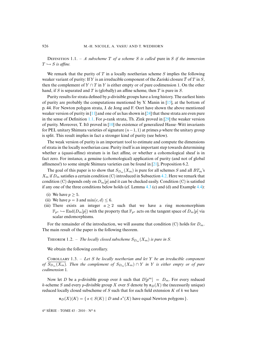DEFINITION 1.1. – *A subscheme* T of a scheme *S* is called pure in *S* if the immersion  $T \hookrightarrow S$  is affine.

We remark that the purity of  $T$  in a locally noetherian scheme  $S$  implies the following weaker variant of purity: If Y is an irreducible component of the Zariski closure T of T in  $S$ , then the complement of  $Y \cap T$  in Y is either empty or of pure codimension 1. On the other hand, if S is separated and T is (globally) an affine scheme, then T is pure in S.

Purity results for strata defined by p-divisible groups have a long history. The earliest hints of purity are probably the computations mentioned by Y. Manin in [\[15\]](#page-30-1), at the bottom of p. 44. For Newton polygon strata, J. de Jong and F. Oort have shown the above mentioned weaker version of purity in  $[11]$  and one of us has shown in  $[24]$  that these strata are even pure in the sense of Definition [1.1.](#page-1-0) For p-rank strata, Th. Zink proved in  $[29]$  the weaker version of purity. Moreover, T. Ito proved in  $[10]$  $[10]$  the existence of generalized Hasse–Witt invariants for PEL unitary Shimura varieties of signature  $(n-1, 1)$  at primes p where the unitary group is split. This result implies in fact a stronger kind of purity (see below).

The weak version of purity is an important tool to estimate and compute the dimensions of strata in the locally noetherian case. Purity itself is an important step towards determining whether a (quasi-affine) stratum is in fact affine, or whether a cohomological sheaf is in fact zero. For instance, a genuine (cohomological) application of purity (and not of global affineness!) to some simple Shimura varieties can be found in [\[21\]](#page-30-4), Proposition 6.2.

The goal of this paper is to show that  $S_{D_m}(X_m)$  is pure for all schemes S and all  $BT_m$ 's  $X_m$  if  $D_m$  satisfies a certain condition (C) introduced in Subsection [4.2.](#page-13-0) Here we remark that condition (C) depends only on  $D_m[p]$  and it can be checked easily. Condition (C) is satisfied if any one of the three conditions below holds (cf. Lemma  $4.3$  (c) and (d) and Example  $4.4$ ):

- (i) We have  $p \geq 5$ .
- (ii) We have  $p = 3$  and  $\min(c, d) \leq 6$ .
- (iii) There exists an integer  $a \ge 2$  such that we have a ring monomorphism  $\mathbb{F}_{p^a} \hookrightarrow \text{End}(D_m[p])$  with the property that  $\mathbb{F}_{p^a}$  acts on the tangent space of  $D_m[p]$  via scalar endomorphisms.

For the remainder of the introduction, we will assume that condition (C) holds for  $D_m$ . The main result of the paper is the following theorem.

<span id="page-2-0"></span>**THEOREM** 1.2. – *The locally closed subscheme*  $S_{D_m}(X_m)$  *is pure in S*.

We obtain the following corollary.

Cʀʟʟʀʏ 1.3. – *Let* S *be locally noetherian and let* Y *be an irreducible component of*  $S_{D_m}(X_m)$ . Then the complement of  $S_{D_m}(X_m) \cap Y$  in Y is either empty or of pure *codimension* 1*.*

Now let D be a p-divisible group over k such that  $D[p^m] = D_m$ . For every reduced k-scheme S and every p-divisible group X over S denote by  $\mathfrak{n}_D(X)$  the (necessarily unique) reduced locally closed subscheme of  $S$  such that for each field extension  $K$  of  $k$  we have

 $\mathfrak{n}_D(X)(K) = \{ s \in S(K) \mid D \text{ and } s^*(X) \text{ have equal Newton polygons } \}.$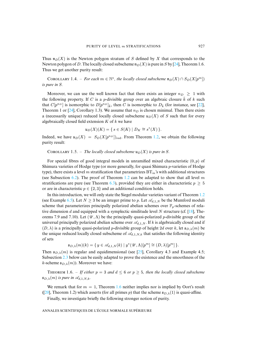Thus  $\mathfrak{n}_D(X)$  is the Newton polygon stratum of S defined by X that corresponds to the Newton polygon of D. The locally closed subscheme  $\mathfrak{n}_D(X)$  is pure in S by [\[24\]](#page-30-0), Theorem 1.6. Thus we get another purity result:

COROLLARY 1.4. – *For each*  $m \in \mathbb{N}^*$ , the locally closed subscheme  $\mathfrak{n}_D(X) \cap S_D(X[p^m])$ *is pure in* S*.*

Moreover, we can use the well known fact that there exists an integer  $n_D \geq 1$  with the following property. If C is a p-divisible group over an algebraic closure  $\overline{k}$  of k such that  $C[p^{n_D}]$  is isomorphic to  $D[p^{n_D}]_{\bar{k}}$ , then C is isomorphic to  $D_{\bar{k}}$  (for instance, see [\[22\]](#page-30-5), Theorem 1 or [\[24\]](#page-30-0), Corollary 1.3). We assume that  $n<sub>D</sub>$  is chosen minimal. Then there exists a (necessarily unique) reduced locally closed subscheme  $u_D(X)$  of S such that for every algebraically closed field extension  $K$  of  $k$  we have

$$
\mathfrak{u}_D(X)(K) = \{ s \in S(K) \mid D_K \cong s^*(X) \}.
$$

Indeed, we have  $u_D(X) = S_D(X[p^{n_D}])_{\text{red}}$ . From Theorem [1.2,](#page-2-0) we obtain the following purity result:

<span id="page-3-1"></span>COROLLARY 1.5. – *The locally closed subscheme*  $\mathfrak{u}_D(X)$  *is pure in* S.

For special fibres of good integral models in unramified mixed characteristic  $(0, p)$  of Shimura varieties of Hodge type (or more generally, for quasi Shimura p-varieties of Hodge type), there exists a level m stratification that parametrizes  $BT_m$ 's with additional structures (see Subsection [6.2\)](#page-26-0). The proof of Theorem [1.2](#page-2-0) can be adapted to show that all level m stratifications are pure (see Theorem [6.3\)](#page-27-0), provided they are either in characteristic  $p \geq 5$ or are in characteristic  $p \in \{2, 3\}$  and an additional condition holds.

In this introduction, we will only state the Siegel modular varieties variant of Theorem [1.2](#page-2-0) (see Example [6.5\)](#page-27-1). Let  $N \geq 3$  be an integer prime to p. Let  $\mathscr{A}_{d,1,N}$  be the Mumford moduli scheme that parameterizes principally polarized abelian schemes over  $\mathbb{F}_p$ -schemes of rela-tive dimension d and equipped with a symplectic similitude level N structure (cf. [\[18\]](#page-30-6), Theorems 7.9 and 7.10). Let  $(\mathcal{U}, \Lambda)$  be the principally quasi-polarized *p*-divisible group of the universal principally polarized abelian scheme over  $\mathcal{A}_{d,1,N}$ . If k is algebraically closed and if  $(D, \lambda)$  is a principally quasi-polarized p-divisible group of height 2d over k, let  $\mathfrak{s}_{D,\lambda}(m)$  be the unique reduced locally closed subscheme of  $\mathcal{A}_{d,1,N,k}$  that satisfies the following identity of sets

$$
\mathfrak{s}_{D,\lambda}(m)(k) = \{ y \in \mathscr{A}_{d,1,N}(k) \mid y^*(\mathscr{U}, \Lambda)[p^m] \cong (D, \lambda)[p^m] \}.
$$

Then  $\mathfrak{s}_{D,\lambda}(m)$  is regular and equidimensional (see [\[25\]](#page-30-7), Corollary 4.3 and Example 4.5; Subsection [2.3](#page-6-0) below can be easily adapted to prove the existence and the smoothness of the k-scheme  $\mathfrak{s}_{D,\lambda}(m)$ ). Moreover we have:

<span id="page-3-0"></span>THEOREM 1.6. – If either  $p = 3$  and  $d \leq 6$  or  $p \geq 5$ , then the locally closed subscheme  $\mathfrak{s}_{D,\lambda}(m)$  *is pure in*  $\mathscr{A}_{d,1,N,k}$ .

We remark that for  $m = 1$ , Theorem [1.6](#page-3-0) neither implies nor is implied by Oort's result ([\[20\]](#page-30-8), Theorem 1.2) which asserts (for all primes p) that the scheme  $\epsilon_{D,\lambda}(1)$  is quasi-affine.

<span id="page-3-2"></span>Finally, we investigate briefly the following stronger notion of purity.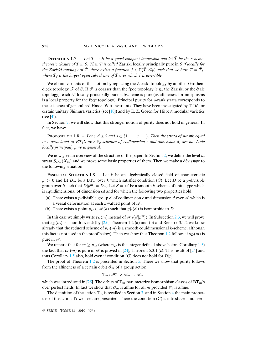DEFINITION 1.7. – Let  $T \rightarrow S$  be a quasi-compact immersion and let  $\overline{T}$  be the scheme*theoretic closure of* T *in* S*. Then* T *is called* Zariski locally principally pure in S *if locally for the Zariski topology of*  $\overline{T}$ *, there exists a function*  $f \in \Gamma(\overline{T}, \mathscr{O}_{\overline{T}})$  *such that we have*  $T = \overline{T}_f$ *,* where  $\bar{T}_f$  is the largest open subscheme of  $\bar{T}$  over which  $f$  is invertible.

We obtain variants of this notion by replacing the Zariski topology by another Grothendieck topology  $\mathscr T$  of S. If  $\mathscr T$  is coarser than the fpqc topology (e.g., the Zariski or the étale topology), each *T* locally principally pure subscheme is pure (as affineness for morphisms is a local property for the fpqc topology). Principal purity for  $p$ -rank strata corresponds to the existence of generalized Hasse–Witt invariants. They have been investigated by T. Ito for ¯ certain unitary Shimura varieties (see [\[10\]](#page-30-3)) and by E. Z. Goren for Hilbert modular varieties  $(see [4]).$  $(see [4]).$  $(see [4]).$ 

In Section [7,](#page-27-2) we will show that this stronger notion of purity does not hold in general. In fact, we have:

<span id="page-4-0"></span>**PROPOSITION** 1.8. – Let  $c, d \geq 2$  and  $s \in \{1, \ldots, c-1\}$ . Then the strata of p-rank equal *to* s *associated to* BT1*'s over* Fp*-schemes of codimension* c *and dimension* d*, are not étale locally principally pure in general.*

We now give an overview of the structure of the paper. In Section [2,](#page-5-1) we define the level  $m$ strata  $S_{D_m}(X_m)$  and we prove some basic properties of them. Then we make a dévissage to the following situation.

<span id="page-4-1"></span>ESSENTIAL SITUATION 1.9. – Let k be an algebraically closed field of characteristic  $p > 0$  and let  $D_m$  be a BT<sub>m</sub> over k which satisfies condition (C). Let D be a p-divisible group over k such that  $D[p^m] = D_m$ . Let  $S = \mathcal{A}$  be a smooth k-scheme of finite type which is equidimensional of dimension  $cd$  and for which the following two properties hold:

- (a) There exists a *p*-divisible group  $\mathscr E$  of codimension c and dimension d over  $\mathscr A$  which is a versal deformation at each k-valued point of *A* .
- (b) There exists a point  $y_D \in \mathcal{A}(k)$  such that  $y_D^*(\mathcal{E})$  is isomorphic to D.

In this case we simply write  $\mathfrak{s}_D(m)$  instead of  $\mathscr{A}_D(\mathscr{E}[p^m])$ . In Subsection [2.3,](#page-6-0) we will prove that  $\mathfrak{s}_D(m)$  is smooth over k (by [\[25\]](#page-30-7), Theorem 1.2 (a) and (b) and Remark 3.1.2 we know already that the reduced scheme of  $\epsilon_D(m)$  is a smooth equidimensional k-scheme, although this fact is not used in the proof below). Then we show that Theorem [1.2](#page-2-0) follows if  $\mathfrak{s}_D(m)$  is pure in *A* .

We remark that for  $m \ge n_D$  (where  $n_D$  is the integer defined above before Corollary [1.5\)](#page-3-1) the fact that  $s_D(m)$  is pure in  $\mathscr A$  is proved in [\[24\]](#page-30-0), Theorem 5.3.1 (c). This result of [24] and thus Corollary [1.5](#page-3-1) also, hold even if condition (C) does not hold for  $D[p]$ .

The proof of Theorem [1.2](#page-2-0) is presented in Section [5.](#page-23-0) There we show that purity follows from the affineness of a certain orbit  $\mathcal{O}_m$  of a group action

$$
\mathbb{T}_m\colon\mathscr{H}_m\times\mathscr{D}_m\to\mathscr{D}_m,
$$

which was introduced in [\[25\]](#page-30-7). The orbits of  $\mathbb{T}_m$  parameterize isomorphism classes of BT<sub>m</sub>'s over perfect fields. In fact we show that  $\mathcal{O}_m$  is affine for all m provided  $\mathcal{O}_1$  is affine.

The definition of the action  $\mathbb{T}_m$  is recalled in Section [3,](#page-9-0) and in Section [4](#page-11-0) the main properties of the action  $\mathbb{T}_1$  we need are presented. There the condition (C) is introduced and used.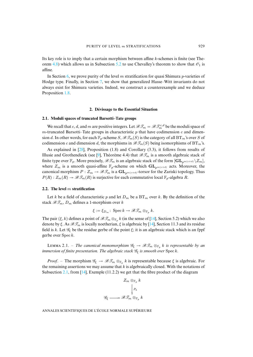Its key role is to imply that a certain morphism between affine  $k$ -schemes is finite (see The-orem [4.8\)](#page-18-0) which allows us in Subsection [5.2](#page-24-0) to use Chevalley's theorem to show that  $\mathcal{O}_1$  is affine.

In Section [6,](#page-24-1) we prove purity of the level m stratification for quasi Shimura p-varieties of Hodge type. Finally, in Section [7,](#page-27-2) we show that generalized Hasse–Witt invariants do not always exist for Shimura varieties. Indeed, we construct a counterexample and we deduce Proposition [1.8.](#page-4-0)

#### **2. Dévissage to the Essential Situation**

## <span id="page-5-2"></span><span id="page-5-1"></span>**2.1. Moduli spaces of truncated Barsotti–Tate groups**

We recall that c, d, and m are positive integers. Let  $\mathscr{B} \mathscr{T}_m = \mathscr{B} \mathscr{T}_m^{c,d}$  be the moduli space of m-truncated Barsotti–Tate groups in characteristic  $p$  that have codimension c and dimension d. In other words, for each  $\mathbb{F}_p$ -scheme  $S$ ,  $\mathscr{B}(\mathcal{F}_m(S))$  is the category of all BT<sub>m</sub>'s over S of codimension c and dimension d, the morphisms in  $\mathcal{BT}_m(S)$  being isomorphisms of  $BT_m$ 's.

As explained in [\[28\]](#page-31-1), Proposition (1.8) and Corollary (3.3), it follows from results of Illusie and Grothendieck (see [\[9\]](#page-30-9), Théorème 4.4) that  $\mathscr{B} \mathscr{T}_m$  is a smooth algebraic stack of finite type over  $\mathbb{F}_p$ . More precisely,  $\mathscr{BT}_m$  is an algebraic stack of the form  $[\mathbf{GL}_{p^{m(c+d)}}\setminus Z_m]$ , where  $Z_m$  is a smooth quasi-affine  $\mathbb{F}_p$ -scheme on which  $\mathbf{GL}_{p^{m(c+d)}}$  acts. Moreover, the canonical morphism  $P: Z_m \to \mathscr{B} \mathscr{T}_m$  is a  $\mathbf{GL}_{p^{m(c+d)}}$ -torsor for the Zariski topology. Thus  $P(R): Z_m(R) \to \mathscr{B} \mathscr{T}_m(R)$  is surjective for each commutative local  $\mathbb{F}_p$ -algebra R.

## <span id="page-5-0"></span>**2.2. The level** m **stratification**

Let k be a field of characteristic p and let  $D_m$  be a  $BT_m$  over k. By the definition of the stack  $\mathscr{B} \mathscr{T}_m$ ,  $D_m$  defines a 1-morphism over k

$$
\xi := \xi_{D_m}: \operatorname{Spec} k \to \mathscr{B}\mathscr{T}_m \otimes_{\mathbb{F}_p} k.
$$

The pair ( $\xi$ , k) defines a point of  $\mathscr{BT}_m \otimes_{\mathbb{F}_p} k$  (in the sense of [\[14\]](#page-30-10), Section 5.2) which we also denote by  $\xi$ . As  $\mathscr{B}\mathscr{T}_m$  is locally noetherian,  $\xi$  is algebraic by [\[14\]](#page-30-10), Section 11.3 and its residue field is k. Let  $\mathscr{G}_{\xi}$  be the residue gerbe of the point  $\xi$ ; it is an algebraic stack which is an fppf gerbe over Spec k.

<span id="page-5-3"></span>**LEMMA** 2.1. – *The canonical monomorphism*  $\mathscr{G}_{\xi} \to \mathscr{B} \mathscr{T}_{m} \otimes_{\mathbb{F}_p} k$  *is representable by an immersion of finite presentation. The algebraic stack*  $\mathcal{G}_{\xi}$  *is smooth over* Spec *k*.

*Proof.* – The morphism  $\mathscr{G}_{\xi} \to \mathscr{B} \mathscr{T}_{m} \otimes_{\mathbb{F}_p} k$  is representable because  $\xi$  is algebraic. For the remaining assertions we may assume that  $k$  is algebraically closed. With the notations of Subsection [2.1,](#page-5-2) from  $[14]$ , Exemple  $(11.2.2)$  we get that the fibre product of the diagram

$$
Z_m \otimes_{\mathbb{F}_p} k
$$

$$
\downarrow{P_k}
$$

$$
\mathscr{G}_\xi \longrightarrow \mathscr{B} \mathscr{T}_m \otimes_{\mathbb{F}_p} k
$$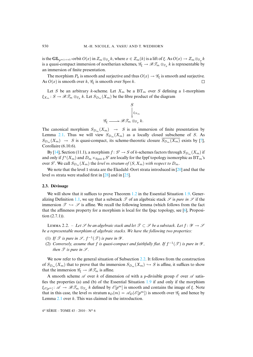is the  $\mathbf{GL}_{p^{m(c+d)}}$ -orbit  $O(x)$  in  $Z_m \otimes_{\mathbb{F}_p} k$ , where  $x \in Z_m(k)$  is a lift of  $\xi$ . As  $O(x) \to Z_m \otimes_{\mathbb{F}_p} k$ is a quasi-compact immersion of noetherian schemes,  $\mathscr{G}_{\xi} \to \mathscr{B} \mathscr{T}_m \otimes_{\mathbb{F}_p} k$  is representable by an immersion of finite presentation.

The morphism  $P_k$  is smooth and surjective and thus  $O(x) \rightarrow \mathscr{G}_{\xi}$  is smooth and surjective. As  $O(x)$  is smooth over k,  $\mathcal{G}_{\xi}$  is smooth over Spec k.  $\Box$ 

Let S be an arbitrary k-scheme. Let  $X_m$  be a  $BT_m$  over S defining a 1-morphism  $\xi_{X_m}: S \to \mathscr{B} \mathscr{T}_m \otimes_{\mathbb{F}_n} k$ . Let  $S_{D_m}(X_m)$  be the fibre product of the diagram

$$
\begin{array}{ccc}\n & S \\
& \downarrow & \\
& \downarrow & \\
\mathscr{G}_{\xi} & \longrightarrow \mathscr{B}\mathscr{T}_{m} \otimes_{\mathbb{F}_{p}} k.\n \end{array}
$$

The canonical morphism  $S_{D_m}(X_m) \rightarrow S$  is an immersion of finite presentation by Lemma [2.1.](#page-5-3) Thus we will view  $S_{D_m}(X_m)$  as a locally closed subscheme of S. As  $S_{D_m}(X_m) \rightarrow S$  is quasi-compact, its scheme-theoretic closure  $S_{D_m}(X_m)$  exists by [\[7\]](#page-29-1), Corollaire (6.10.6).

By [\[14\]](#page-30-10), Section (11.1), a morphism  $f: S' \to S$  of k-schemes factors through  $S_{D_m}(X_m)$  if and only if  $f^*(X_m)$  and  $D_m \times_{Spec k} S'$  are locally for the fppf topology isomorphic as  $BT_m$ 's over S'. We call  $S_{D_m}(X_m)$  the *level*  $m$  *stratum of*  $(S, X_m)$  *with respect to*  $D_m$ .

We note that the level 1 strata are the Ekedahl–Oort strata introduced in [\[20\]](#page-30-8) and that the level *m* strata were studied first in [\[28\]](#page-31-1) and in [\[25\]](#page-30-7).

## <span id="page-6-0"></span>**2.3. Dévissage**

We will show that it suffices to prove Theorem [1.2](#page-2-0) in the Essential Situation [1.9.](#page-4-1) Gener-alizing Definition [1.1,](#page-1-0) we say that a substack  $\mathscr{T}$  of an algebraic stack  $\mathscr{S}$  is *pure in*  $\mathscr{S}$  if the immersion  $\mathscr{T} \hookrightarrow \mathscr{S}$  is affine. We recall the following lemma (which follows from the fact that the affineness property for a morphism is local for the fpqc topology, see [\[6\]](#page-29-2), Proposition (2.7.1)).

<span id="page-6-1"></span>LEMMA 2.2. – Let *S* be an algebraic stack and let  $\mathcal{T} \subset \mathcal{S}$  be a substack. Let  $f: \mathcal{Y} \to \mathcal{S}$ *be a representable morphism of algebraic stacks. We have the following two properties:*

- (1) If  $\mathcal{T}$  *is pure in*  $\mathcal{S}$ ,  $f^{-1}(\mathcal{T})$  *is pure in*  $\mathcal{Y}$ *.*
- (2) *Conversely, assume that*  $f$  *is quasi-compact and faithfully flat. If*  $f^{-1}(\mathcal{T})$  *is pure in*  $\mathcal{Y}$ *, then*  $\mathscr T$  *is pure in*  $\mathscr S$ *.*

We now refer to the general situation of Subsection [2.2.](#page-5-0) It follows from the construction of  $S_{D_m}(X_m)$  that to prove that the immersion  $S_{D_m}(X_m) \hookrightarrow S$  is affine, it suffices to show that the immersion  $\mathscr{G}_{\xi} \to \mathscr{B} \mathscr{T}_m$  is affine.

A smooth scheme  $\mathscr A$  over k of dimension cd with a p-divisible group  $\mathscr E$  over  $\mathscr A$  satisfies the properties (a) and (b) of the Essential Situation [1.9](#page-4-1) if and only if the morphism  $\xi_{\mathscr{E}[p^m]}: \mathscr{A} \to \mathscr{B}\mathscr{T}_m \otimes_{\mathbb{F}_p} k$  defined by  $\mathscr{E}[p^m]$  is smooth and contains the image of  $\xi$ . Note that in this case, the level m stratum  $\mathfrak{s}_D(m) = \mathscr{A}_D(\mathscr{E}[p^m])$  is smooth over  $\mathscr{G}_{\xi}$  and hence by Lemma [2.1](#page-5-3) over k. This was claimed in the introduction.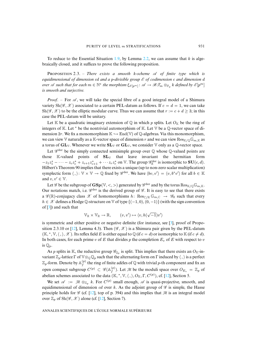To reduce to the Essential Situation [1.9,](#page-4-1) by Lemma [2.2,](#page-6-1) we can assume that  $k$  is algebraically closed, and it suffices to prove the following proposition.

Pʀɪɪɴ 2.3. – *There exists a smooth* k*-scheme A of finite type which is equidimensional of dimension* cd *and a* p*-divisible group E of codimension* c *and dimension* d *over A* such that for each  $m \in \mathbb{N}^*$  the morphism  $\xi_{\mathscr{E}[p^m]}$ :  $\mathscr{A} \to \mathscr{B}\mathscr{T}_m \otimes_{\mathbb{F}_p} k$  defined by  $\mathscr{E}[p^m]$ *is smooth and surjective.*

*Proof.* – For  $\mathscr A$ , we will take the special fibre of a good integral model of a Shimura variety  $\text{Sh}(\mathscr{G}, \mathscr{X})$  associated to a certain PEL-datum as follows. If  $c = d = 1$ , we can take  $\text{Sh}(\mathscr{G}, \mathscr{X})$  to be the elliptic modular curve. Thus we can assume that  $r := c + d \geq 3$ ; in this case the PEL-datum will be unitary.

Let K be a quadratic imaginary extension of Q in which p splits. Let  $O_K$  be the ring of integers of K. Let  $*$  be the nontrivial automorphism of K. Let  $\mathbb {V}$  be a  $\mathbb {Q}$ -vector space of dimension 2r. We fix a monomorphism  $\mathbb{K} \hookrightarrow \text{End}(\mathbb{V})$  of  $\mathbb{Q}$ -algebras. Via this monomorphism, we can view V naturally as a K-vector space of dimension r and we can view  $\text{Res}_{K/\mathbb{O}}\mathbb{G}_{m,K}$  as a torus of  $GL_V$ . Whenever we write  $SL_V$  or  $GL_V$ , we consider V only as a Q-vector space.

Let  $\mathscr{G}^{der}$  be the simply connected semisimple group over  $\mathbb Q$  whose  $\mathbb Q$ -valued points are those  $K$ -valued points of  $SL_V$  that leave invariant the hermitian form  $-z_1z_1^*-\cdots-z_cz_c^*+z_{c+1}z_{c+1}^*+\cdots z_rz_r^*$  on  $\mathbb V$ . The group  $\mathscr{G}_{\mathbb{R}}^{\text{der}}$  is isomorphic to  $\mathbf{SU}(c,d)$ . Hilbert's Theorem 90 implies that there exists a unique (up to non-zero scalar multiplication) symplectic form  $\langle , \rangle: \mathbb{V} \times \mathbb{V} \to \mathbb{Q}$  fixed by  $\mathscr{G}^{der}$ . We have  $\langle bv, v' \rangle = \langle v, b^*v' \rangle$  for all  $b \in \mathbb{K}$ and  $v, v' \in \mathbb{V}$ .

Let  $\mathscr G$  be the subgroup of  $\mathbf{GSp}(\mathbb{V}, <, >)$  generated by  $\mathscr G^{\mathrm{der}}$  and by the torus  $\mathrm{Res}_{\mathbb{K}/\mathbb{O}}\mathbb{G}_{m,\mathbb{K}}$ . Our notations match, i.e.  $\mathscr{G}^{der}$  is the derived group of  $\mathscr{G}$ . It is easy to see that there exists a  $\mathscr{G}(\mathbb{R})$ -conjugacy class  $\mathscr{X}$  of homomorphisms  $h: \operatorname{Res}_{\mathbb{C}/\mathbb{R}} \mathbb{G}_{m,\mathbb{C}} \to \mathscr{G}_{\mathbb{R}}$  such that every h ∈ *X* defines a Hodge Q-structure on V of type {(−1, 0),(0, −1)} (with the sign convention of [\[3\]](#page-29-3)) and such that

$$
\mathbb{V}_\mathbb{R} \times \mathbb{V}_\mathbb{R} \to \mathbb{R}, \qquad (v, v') \mapsto \langle v, h(\sqrt{-1})v' \rangle
$$

is symmetric and either positive or negative definite (for instance, see [\[3\]](#page-29-3), proof of Propo-sition 2.3.10 or [\[12\]](#page-30-11), Lemma 4.3). Then  $(\mathscr{G}, \mathscr{X})$  is a Shimura pair given by the PEL-datum  $(\mathbb{K},*,\mathbb{V},\langle\cdot,\rangle,\mathscr{X})$ . Its reflex field E is either equal to  $\mathbb{Q}$  (if  $c = d$ ) or isomorphic to  $\mathbb{K}$  (if  $c \neq d$ ). In both cases, for each prime v of E that divides p the completion  $E_v$  of E with respect to v is  $\mathbb{Q}_p$ .

As p splits in K, the reductive group  $\mathscr{G}_{\mathbb{Q}_p}$  is split. This implies that there exists an  $O_K$ -invariant  $\mathbb{Z}_p$ -lattice  $\Gamma$  of  $\mathbb{V} \otimes_{\mathbb{Q}} \mathbb{Q}_p$  such that the alternating form on  $\Gamma$  induced by  $\langle ,\rangle$  is a perfect  $\mathbb{Z}_p$ -form. Denote by  $\mathbb{A}_f^{(p)}$  the ring of finite adèles of  $\mathbb Q$  with trivial p-th component and fix an open compact subgroup  $C^{(p)} \subset \mathscr{G}(\mathbb{A}_f^{(p)})$ . Let M be the moduli space over  $O_{E_v} = \mathbb{Z}_p$  of abelian schemes associated to the data  $(\mathbb{K}, *, \mathbb{V}, \langle , \rangle, O_{\mathbb{K}}, \Gamma, C^{(p)}),$  cf. [\[12\]](#page-30-11), Section 5.

We set  $\mathscr{A} := \mathscr{M} \otimes_{\mathbb{Z}_p} k$ . For  $C^{(p)}$  small enough,  $\mathscr{A}$  is quasi-projective, smooth, and equidimensional of dimension *cd* over k. As the adjoint group of  $\mathscr G$  is simple, the Hasse principle holds for  $\mathcal G$  (cf. [\[12\]](#page-30-11), top of p. 394) and this implies that  $\mathcal M$  is an integral model over  $\mathbb{Z}_p$  of  $\text{Sh}(\mathscr{G}, \mathscr{X})$  alone (cf. [\[12\]](#page-30-11), Section 7).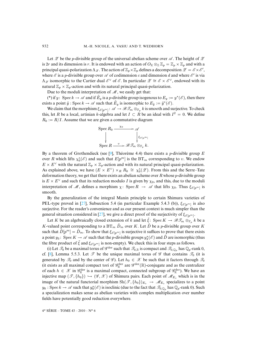Let  $\mathscr Z$  be the *p*-divisible group of the universal abelian scheme over  $\mathscr A$ . The height of  $\mathscr Z$ is 2r and its dimension is r. It is endowed with an action of  $O_{K} \otimes_{\mathbb{Z}} \mathbb{Z}_{p} = \mathbb{Z}_{p} \times \mathbb{Z}_{p}$  and with a principal quasi-polarization  $\Lambda_{\mathscr{Z}}$ . The action of  $\mathbb{Z}_p\times\mathbb{Z}_p$  defines a decomposition  $\mathscr{Z}=\mathscr{E}\times\mathscr{E}'$ , where  $\mathscr E$  is a p-divisible group over  $\mathscr A$  of codimension c and dimension d and where  $\mathscr E'$  is via  $\Lambda_{\mathscr{Z}}$  isomorphic to the Cartier dual  $\mathscr{E}^{\vee}$  of  $\mathscr{E}$ . In particular  $\mathscr{Z} \cong \mathscr{E} \times \mathscr{E}^{\vee}$ , endowed with its natural  $\mathbb{Z}_p \times \mathbb{Z}_p$ -action and with its natural principal quasi-polarization.

Due to the moduli interpretation of *M*, we easily get that:

(\*) if y: Spec  $k \to \mathscr{A}$  and if  $E_y$  is a p-divisible group isogenous to  $E_y := y^*(\mathscr{E})$ , then there exists a point  $\tilde{y}$  : Spec  $k \to \mathcal{A}$  such that  $\tilde{E}_y$  is isomorphic to  $E_{\tilde{y}} := \tilde{y}^*(\mathcal{E})$ .

We claim that the morphism  $\xi_{\mathscr{E}[p^m]}: \mathscr{A} \to \mathscr{B}\mathscr{T}_m \otimes_{\mathbb{F}_p} k$  is smooth and surjective. To check this, let R be a local, artinian k-algebra and let  $I \subset R$  be an ideal with  $I^2 = 0$ . We define  $R_0 := R/I$ . Assume that we are given a commutative diagram

$$
\operatorname{Spec} R_0 \xrightarrow{\chi_0} \mathscr{A}
$$
  
\n
$$
\downarrow \qquad \qquad \downarrow \xi_{\mathscr{E}[p^m]}
$$
  
\n
$$
\operatorname{Spec} R \xrightarrow{\upsilon} \mathscr{B} \mathscr{T}_m \otimes_{\mathbb{F}_p} k.
$$

By a theorem of Grothendieck (see [\[9\]](#page-30-9), Théorème 4.4) there exists a *p*-divisible group E over R which lifts  $\chi_0^*(\mathscr{E})$  and such that  $E[p^m]$  is the  $BT_m$  corresponding to v. We endow  $E \times E^{\vee}$  with the natural  $\mathbb{Z}_p \times \mathbb{Z}_p$ -action and with its natural principal quasi-polarization. As explained above, we have  $(E \times E^{\vee}) \times_R R_0 \cong \chi_0^*(\mathscr{Z})$ . From this and the Serre–Tate deformation theory, we get that there exists an abelian scheme over  $R$  whose  $p$ -divisible group is  $E \times E^{\vee}$  and such that its reduction modulo I is given by  $\chi_0$ , and this, due to the moduli interpretation of *M*, defines a morphism  $\chi$ : Spec  $R \to \mathscr{A}$  that lifts  $\chi_0$ . Thus  $\xi_{\mathscr{E}[p^m]}$  is smooth.

By the generalization of the integral Manin principle to certain Shimura varieties of PEL-type proved in [\[27\]](#page-30-12), Subsection 5.4 (in particular Example 5.4.3 (b)),  $\xi_{\mathscr{E}[n^m]}$  is also surjective. For the reader's convenience and as our present context is much simpler than the general situation considered in [\[27\]](#page-30-12), we give a direct proof of the surjectivity of  $\xi_{\mathscr{E}|p^m}$ .

Let K be an algebraically closed extension of k and let  $\zeta$ : Spec  $K \to \mathscr{B} \mathscr{T}_m \otimes_{\mathbb{F}_n} k$  be a K-valued point corresponding to a BT<sub>m</sub>  $\ddot{D}_m$  over K. Let  $\ddot{D}$  be a p-divisible group over K such that  $\tilde{D}[p^m] = \tilde{D}_m$ . To show that  $\xi_{\mathscr{E}[p^m]}$  is surjective it suffices to prove that there exists a point  $y_3$ : Spec  $K \to \mathscr{A}$  such that the *p*-divisible groups  $y_3^*(\mathscr{E})$  and  $\tilde{D}$  are isomorphic (thus the fibre product of  $\zeta$  and  $\xi_{\mathscr{E}[p^m]}$  is non-empty). We check this in four steps as follows.

(i) Let  $\mathcal{T}_0$  be a maximal torus of  $\mathscr{G}^{der}$  such that  $\mathcal{T}_{0,\mathbb{R}}$  is compact and  $\mathcal{T}_{0,\mathbb{Q}_p}$  has  $\mathbb{Q}_p$ -rank 0, cf. [\[8\]](#page-30-13), Lemma 5.5.3. Let  $\mathscr T$  be the unique maximal torus of  $\mathscr G$  that contains  $\mathscr T_0$  (it is generated by  $\mathcal{T}_0$  and by the center of  $\mathcal{G}$ ). Let  $h_0 \in \mathcal{X}$  be such that it factors through  $\mathcal{T}_0$ (it exists as all maximal compact tori of  $\mathscr{G}^{\text{der}}_{\mathbb{R}}$  are  $\mathscr{G}^{\text{der}}(\mathbb{R})$ -conjugate and as the centralizer of each  $h \in \mathscr{X}$  in  $\mathscr{G}_{\mathbb{R}}^{\text{der}}$  is a maximal compact, connected subgroup of  $\mathscr{G}_{\mathbb{R}}^{\text{der}}$ ). We have an injective map  $(\mathscr{T}, \{h_0\}) \hookrightarrow (\mathscr{G}, \mathscr{X})$  of Shimura pairs. Each point of  $\mathscr{M}_{E_n}$  which is in the image of the natural functorial morphism  $\text{Sh}(\mathcal{T}, \{h_0\})_{E_v} \to \mathcal{M}_{E_v}$  specializes to a point  $y_0: \text{Spec } k \to \mathscr{A}$  such that  $y_0^*(\mathscr{E})$  is isoclinic (due to the fact that  $\mathscr{T}_{0,\mathbb{Q}_p}$  has  $\mathbb{Q}_p$ -rank 0). Such a specialization makes sense as abelian varieties with complex multiplication over number fields have potentially good reduction everywhere.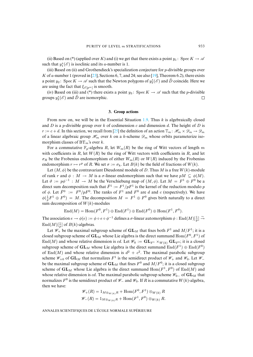(ii) Based on (\*) (applied over K) and (i) we get that there exists a point  $y_1$ : Spec  $K \to \mathscr{A}$ such that  $y_1^*(\mathscr{E})$  is isoclinic and its *a*-number is 1.

(iii) Based on (ii) and Grothendieck's specialization conjecture for  $p$ -divisible groups over K of a-number 1 (proved in [\[23\]](#page-30-14), Sections 6, 7, and 24; see also [\[19\]](#page-30-15), Theorem 6.2), there exists a point  $y_2$ : Spec  $K \to \mathscr{A}$  such that the Newton polygons of  $y_2^*(\mathscr{E})$  and  $\tilde{D}$  coincide. Here we are using the fact that  $\xi_{\mathscr{E}[p^m]}$  is smooth.

(iv) Based on (iii) and (\*) there exists a point  $y_3$ : Spec  $K \to \mathcal{A}$  such that the *p*-divisible groups  $y_3^*(\mathscr{E})$  and  $\tilde{D}$  are isomorphic.  $\Box$ 

## **3. Group actions**

<span id="page-9-0"></span>From now on, we will be in the Essential Situation [1.9.](#page-4-1) Thus  $k$  is algebraically closed and D is a p-divisible group over k of codimension c and dimension d. The height of D is  $r := c + d$ . In this section, we recall from [\[25\]](#page-30-7) the definition of an action  $\mathbb{T}_m : \mathcal{H}_m \times \mathcal{D}_m \to \mathcal{D}_m$ of a linear algebraic group  $\mathcal{H}_m$  over k on a k-scheme  $\mathcal{D}_m$  whose orbits parameterize isomorphism classes of  $BT_m$ 's over k.

For a commutative  $\mathbb{F}_p$ -algebra R, let  $W_m(R)$  be the ring of Witt vectors of length m with coefficients in R, let  $W(R)$  be the ring of Witt vectors with coefficients in R, and let  $\sigma_R$  be the Frobenius endomorphism of either  $W_m(R)$  or  $W(R)$  induced by the Frobenius endomorphism  $r \mapsto r^p$  of R. We set  $\sigma := \sigma_k$ . Let  $B(k)$  be the field of fractions of  $W(k)$ .

Let  $(M, \phi)$  be the contravariant Dieudonné module of D. Thus M is a free  $W(k)$ -module of rank r and  $\phi : M \to M$  is a  $\sigma$ -linear endomorphism such that we have  $pM \subseteq \phi(M)$ . Let  $\vartheta := p\phi^{-1} : M \to M$  be the Verschiebung map of  $(M, \phi)$ . Let  $M = F^1 \oplus F^0$  be a direct sum decomposition such that  $\bar{F}^1 := F^1/pF^1$  is the kernel of the reduction modulo p of  $\phi$ . Let  $\bar{F}^0 := F^0/pF^0$ . The ranks of  $F^1$  and  $F^0$  are d and c (respectively). We have  $\phi(\frac{1}{p}F^1 \oplus F^0) = M$ . The decomposition  $M = F^1 \oplus F^0$  gives birth naturally to a direct sum decomposition of  $W(k)$ -modules

$$
End(M) = Hom(F^0, F^1) \oplus End(F^1) \oplus End(F^0) \oplus Hom(F^1, F^0).
$$

The association  $e \to \phi(e) := \phi \circ e \circ \phi^{-1}$  defines a  $\sigma$ -linear automorphism  $\phi : \text{End}(M)[\frac{1}{p}] \stackrel{\sim}{\to}$  $\text{End}(M)[\frac{1}{p}]$  of  $B(k)$ -algebras.

Let  $\mathcal{W}_+$  be the maximal subgroup scheme of  $GL_M$  that fixes both  $F^1$  and  $M/F^1$ ; it is a closed subgroup scheme of  $GL_M$  whose Lie algebra is the direct summand  $Hom(F^0, F^1)$  of End(M) and whose relative dimension is cd. Let  $\mathscr{W}_0 := \mathbf{GL}_{F^1} \times_{W(k)} \mathbf{GL}_{F^0}$ ; it is a closed subgroup scheme of  $GL_M$  whose Lie algebra is the direct summand  $\text{End}(F^1) \oplus \text{End}(F^0)$ of End(M) and whose relative dimension is  $d^2 + c^2$ . The maximal parabolic subgroup scheme  $\mathscr{W}_{+0}$  of  $GL_M$  that normalizes  $F^1$  is the semidirect product of  $\mathscr{W}_+$  and  $\mathscr{W}_0$ . Let  $\mathscr{W}_$ be the maximal subgroup scheme of  $GL_M$  that fixes  $F^0$  and  $M/F^0$ ; it is a closed subgroup scheme of  $GL_M$  whose Lie algebra is the direct summand  $Hom(F^1, F^0)$  of  $End(M)$  and whose relative dimension is *cd*. The maximal parabolic subgroup scheme  $\mathcal{W}_{0-}$  of **GL**M that normalizes  $F^0$  is the semidirect product of  $\mathcal{W}_-$  and  $\mathcal{W}_0$ . If R is a commutative W(k)-algebra, then we have:

$$
\mathscr{W}_+(R) = 1_{M \otimes_{W(k)} R} + \text{Hom}(F^0, F^1) \otimes_{W(k)} R
$$
  

$$
\mathscr{W}_-(R) = 1_{M \otimes_{W(k)} R} + \text{Hom}(F^1, F^0) \otimes_{W(k)} R.
$$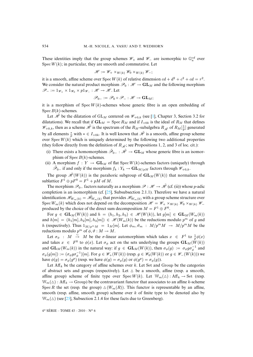These identities imply that the group schemes  $\mathcal{W}_+$  and  $\mathcal{W}_-$  are isomorphic to  $\mathbb{G}_a^{cd}$  over Spec  $W(k)$ ; in particular, they are smooth and commutative. Let

$$
\mathscr{H} := \mathscr{W}_+ \times_{W(k)} \mathscr{W}_0 \times_{W(k)} \mathscr{W}_-;
$$

it is a smooth, affine scheme over Spec  $W(k)$  of relative dimension  $cd + d^2 + c^2 + cd = r^2$ . We consider the natural product morphism  $\mathcal{P}_0 : \mathcal{H} \to \mathbf{GL}_M$  and the following morphism *P*<sup>−</sup> := 1*W*<sup>+</sup> × 1*W*<sup>0</sup> × p1*W*<sup>−</sup> : *H* → *H* . Let

$$
\mathscr{P}_{0-}:=\mathscr{P}_0\circ\mathscr{P}_-:\mathscr{H}\to\mathbf{GL}_M;
$$

it is a morphism of  $Spec W(k)$ -schemes whose generic fibre is an open embedding of Spec  $B(k)$ -schemes.

Let  $\mathcal{H}$  be the dilatation of  $GL_M$  centered on  $\mathcal{W}_{+0,k}$  (see [\[1\]](#page-29-4), Chapter 3, Section 3.2 for dilatations). We recall that if  $GL_M$  = Spec  $R_M$  and if  $I_{+\alpha k}$  is the ideal of  $R_M$  that defines  $\mathscr{W}_{+0,k}$ , then as a scheme  $\tilde{\mathscr{H}}$  is the spectrum of the  $R_M$ -subalgebra  $R_{\tilde{\mathscr{H}}}$  of  $R_M[\frac{1}{p}]$  generated by all elements  $\frac{*}{p}$  with  $* \in I_{+0k}$ . It is well known that  $\tilde{\mathcal{H}}$  is a smooth, affine group scheme over  $Spec W(k)$  which is uniquely determined by the following two additional properties (they follow directly from the definition of  $R_{\tilde{\mathcal{H}}}$ ; see Propositions 1, 2, and 3 of loc. cit.):

- (i) There exists a homomorphism  $\tilde{\mathcal{P}}_{0-} : \tilde{\mathcal{H}} \to \mathbf{GL}_M$  whose generic fibre is an isomorphism of  $\text{Spec } B(k)$ -schemes.
- (ii) A morphism  $f: Y \to \mathbf{GL}_M$  of flat Spec  $W(k)$ -schemes factors (uniquely) through *P*<sup>0</sup><sup>−</sup> if and only if the morphism  $f_k: Y_k \to \mathbf{GL}_{M/pM}$  factors through  $\mathcal{W}_{+0,k}$ .

The group  $\mathcal{\tilde{H}}(W(k))$  is the parahoric subgroup of  $GL_M(W(k))$  that normalizes the sublattice  $F^1 \oplus pF^0 = F^1 + pM$  of M.

The morphism  $\mathcal{P}_0$  factors naturally as a morphism  $\mathcal{P}: \mathcal{H} \to \tilde{\mathcal{H}}$  (cf. (ii)) whose *p*-adic completion is an isomorphism (cf.  $[25]$ , Subsubsection 2.1.1). Therefore we have a natural identification  $\mathscr{H}_{W_m(k)} = \check{\mathscr{H}}_{W_m(k)}$  that provides  $\mathscr{H}_{W_m(k)}$  with a group scheme structure over Spec  $W_m(k)$  which does not depend on the decomposition  $\mathcal{H} = \mathcal{W}_+ \times_{W(k)} \mathcal{W}_0 \times_{W(k)} \mathcal{W}_$ produced by the choice of the direct sum decomposition  $M = F^1 \oplus F^0$ .

For  $g \in GL_M(W(k))$  and  $h = (h_1, h_2, h_3) \in \mathcal{H}(W(k))$ , let  $g[m] \in GL_M(W_m(k))$ and  $h[m]=(h_1[m], h_2[m], h_3[m]) \in \mathcal{H}(W_m(k))$  be the reductions modulo  $p^m$  of g and h (respectively). Thus  $1_{M/p^mM} = 1_M[m]$ . Let  $\phi_m$ ,  $\vartheta_m$ :  $M/p^mM \rightarrow M/p^mM$  be the reductions modulo  $p^m$  of  $\phi$ ,  $\theta : M \to M$ .

Let  $\sigma_{\phi}$  :  $M \stackrel{\sim}{\rightarrow} M$  be the  $\sigma$ -linear automorphism which takes  $x \in F^1$  to  $\frac{1}{p}\phi(x)$ and takes  $x \in F^0$  to  $\phi(x)$ . Let  $\sigma_{\phi}$  act on the sets underlying the groups  $\mathbf{GL}_M(W(k))$ and  $\mathbf{GL}_M(W_m(k))$  in the natural way: if  $g \in \mathbf{GL}_M(W(k))$ , then  $\sigma_{\phi}(g) := \sigma_{\phi} g \sigma_{\phi}^{-1}$  and  $\sigma_{\phi}(g[m]) := (\sigma_{\phi} g \sigma_{\phi}^{-1})[m]$ . For  $g \in \mathscr{W}_+(W(k))$  (resp.  $g \in \mathscr{W}_0(W(k))$  or  $g \in \mathscr{W}_-(W(k))$ ) we have  $\phi(g) = \sigma_{\phi}(g^p)$  (resp. we have  $\phi(g) = \sigma_{\phi}(g)$  or  $\phi(g^p) = \sigma_{\phi}(g)$ ).

Let  $\text{Aff}_k$  be the category of affine schemes over k. Let Set and Group be the categories of abstract sets and groups (respectively). Let  $\triangle$  be a smooth, affine (resp. a smooth, affine group) scheme of finite type over  $Spec W(k)$ . Let  $\mathbb{W}_m(\Delta)$ : Aff<sub>k</sub>  $\rightarrow$  Set (resp.  $\mathbb{W}_m(\Delta)$ : Aff<sub>k</sub>  $\rightarrow$  Group) be the contravariant functor that associates to an affine k-scheme Spec R the set (resp. the group)  $\Delta(W_m(R))$ . This functor is representable by an affine, smooth (resp. affine, smooth group) scheme over  $k$  of finite type to be denoted also by  $\mathbb{W}_m(\Delta)$  (see [\[25\]](#page-30-7), Subsection 2.1.4 for these facts due to Greenberg).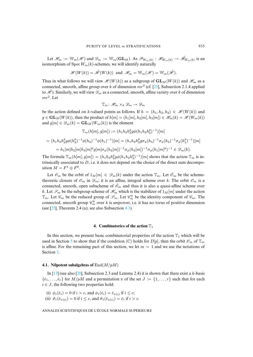Let  $\mathcal{H}_m := \mathbb{W}_m(\mathcal{H})$  and  $\mathcal{D}_m := \mathbb{W}_m(\mathbf{GL}_M)$ . As  $\mathcal{P}_{W_m(k)} : \mathcal{H}_{W_m(k)} \to \tilde{\mathcal{H}}_{W_m(k)}$  is an isomorphism of  $Spec W_m(k)$ -schemes, we will identify naturally

$$
\mathscr{H}(W(k)) = \tilde{\mathscr{H}}(W(k)) \text{ and } \mathscr{H}_m = \mathbb{W}_m(\mathscr{H}) = \mathbb{W}_m(\tilde{\mathscr{H}}).
$$

Thus in what follows we will view  $\mathcal{H}(W(k))$  as a subgroup of  $GL_M(W(k))$  and  $\mathcal{H}_m$  as a connected, smooth, affine group over k of dimension  $mr^2$  (cf. [\[25\]](#page-30-7), Subsection 2.1.4 applied to  $\mathcal{H}$ ). Similarly, we will view  $\mathcal{D}_m$  as a connected, smooth, affine variety over k of dimension  $mr^2$ . Let

$$
\mathbb{T}_m: \mathcal{H}_m \times_k \mathcal{D}_m \to \mathcal{D}_m
$$

be the action defined on k-valued points as follows. If  $h = (h_1, h_2, h_3) \in \mathcal{H}(W(k))$  and  $g \in GL_M(W(k))$ , then the product of  $h[m]=(h_1[m], h_2[m], h_3[m]) \in \mathcal{H}_m(k) = \mathcal{H}(W_m(k))$ and  $g[m] \in \mathcal{D}_m(k) = GL_M(W_m(k))$  is the element

$$
\mathbb{T}_m(h[m], g[m]) := (h_1 h_2 h_3^p g \phi(h_1 h_2 h_3^p)^{-1}) [m]
$$
  
=  $(h_1 h_2 h_3^p g \phi(h_3^p)^{-1} \phi(h_2)^{-1} \phi(h_1)^{-1}) [m] = (h_1 h_2 h_3^p g \sigma_{\phi}(h_3)^{-1} \sigma_{\phi}(h_2)^{-1} \sigma_{\phi}(h_1^p)^{-1}) [m]$   
=  $h_1[m] h_2[m] h_3[m]^p g[m] \sigma_{\phi}(h_3[m])^{-1} \sigma_{\phi}(h_2[m])^{-1} \sigma_{\phi}(h_1[m]^p)^{-1} \in \mathcal{D}_m(k).$ 

The formula  $\mathbb{T}_m(h[m], g[m]) = (h_1h_2h_3^p g\phi(h_1h_2h_3^p)^{-1})[m]$  shows that the action  $\mathbb{T}_m$  is intrinsically associated to  $D$ , i.e. it does not depend on the choice of the direct sum decomposition  $M = F^1 \oplus F^0$ .

Let  $\mathscr{O}_m$  be the orbit of  $1_M[m] \in \mathscr{D}_m(k)$  under the action  $\mathbb{T}_m$ . Let  $\bar{\mathscr{O}}_m$  be the schemetheoretic closure of  $\mathcal{O}_m$  in  $\mathcal{D}_m$ ; it is an affine, integral scheme over k. The orbit  $\mathcal{O}_m$  is a connected, smooth, open subscheme of  $\bar{\mathscr{O}}_m$  and thus it is also a quasi-affine scheme over k. Let  $\mathscr{S}_m$  be the subgroup scheme of  $\mathscr{H}_m$  which is the stabilizer of  $1_M[m]$  under the action  $\mathbb{T}_m$ . Let  $\mathscr{C}_m$  be the reduced group of  $\mathscr{S}_m$ . Let  $\mathscr{C}_m^0$  be the identity component of  $\mathscr{C}_m$ . The connected, smooth group  $\mathcal{C}_m^0$  over k is *unipotent*, i.e. it has no torus of positive dimension (see  $[25]$ , Theorem 2.4 (a); see also Subsection [4.3\)](#page-16-0).

## **4. Combinatorics of the action**  $\mathbb{T}_1$

<span id="page-11-0"></span>In this section, we present basic combinatorial properties of the action  $T_1$  which will be used in Section [5](#page-23-0) to show that if the condition (C) holds for  $D[p]$ , then the orbit  $\mathcal{O}_m$  of  $\mathbb{T}_m$ is affine. For the remaining part of this section, we let  $m = 1$  and we use the notations of Section [3.](#page-9-0)

#### <span id="page-11-1"></span>**4.1. Nilpotent subalgebras of** End(M/pM)

In  $[13]$  (see also  $[20]$ , Subsection 2.3 and Lemma 2.4) it is shown that there exist a k-basis  $\{\bar{e}_1,\ldots,\bar{e}_r\}$  for  $M/pM$  and a permutation  $\pi$  of the set  $J := \{1,\ldots,r\}$  such that for each  $i \in J$ , the following two properties hold:

- (i)  $\phi_1(\bar{e}_i)=0$  if  $i>c$ , and  $\phi_1(\bar{e}_i)=\bar{e}_{\pi(i)}$  if  $i \leq c$ ;
- (ii)  $\vartheta_1(\bar{e}_{\pi(i)})=0$  if  $i \leq c$ , and  $\vartheta_1(\bar{e}_{\pi(i)})=\bar{e}_i$  if  $i > c$ .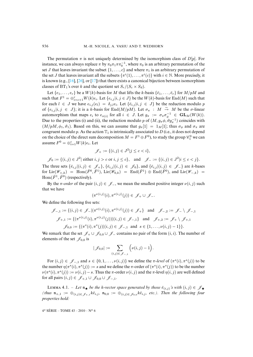The permutation  $\pi$  is not uniquely determined by the isomorphism class of  $D[p]$ . For instance, we can always replace  $\pi$  by  $\pi_0 \pi_1 \pi \pi_0^{-1}$ , where  $\pi_0$  is an arbitrary permutation of the set J that leaves invariant the subset  $\{1,\ldots,c\}$  and where  $\pi_1$  is an arbitrary permutation of the set *J* that leaves invariant all the subsets  $\{\pi^i(1), \ldots, \pi^i(c)\}$  with  $i \in \mathbb{N}$ . More precisely, it is known (e.g.,  $[16]$ ,  $[26]$ , or  $[17]$ ) that there exists a canonical bijection between isomorphism classes of BT<sub>1</sub>'s over k and the quotient set  $S_r/(S_c \times S_d)$ .

Let  $\{e_1,\ldots,e_r\}$  be a  $W(k)$ -basis for M that lifts the k-basis  $\{\bar{e}_1,\ldots,\bar{e}_r\}$  for  $M/pM$  and such that  $F^1 = \bigoplus_{i=c+1}^r W(k)e_i$ . Let  $\{e_{i,j} | i, j \in J\}$  be the  $W(k)$ -basis for  $\text{End}(M)$  such that for each  $l \in J$  we have  $e_{i,j}(e_l) = \delta_{j,l} e_i$ . Let  $\{\bar{e}_{i,j} | i,j \in J\}$  be the reduction modulo p of  $\{e_{i,j} | i,j \in J\}$ ; it is a k-basis for End $(M/pM)$ . Let  $\sigma_{\pi}$  :  $M \stackrel{\sim}{\rightarrow} M$  be the  $\sigma$ -linear automorphism that maps  $e_i$  to  $e_{\pi(i)}$  for all  $i \in J$ . Let  $g_{\pi} := \sigma_{\pi} \sigma_{\phi}^{-1} \in GL_M(W(k))$ . Due to the properties (i) and (ii), the reduction modulo p of  $(M, g_{\pi}\phi, \vartheta g_{\pi}^{-1})$  coincides with  $(M/pM, \phi_1, \vartheta_1)$ . Based on this, we can assume that  $g_{\pi}[1] = 1_M[1]$ ; thus  $\sigma_{\phi}$  and  $\sigma_{\pi}$  are congruent modulo p. As the action  $\mathbb{T}_1$  is intrinsically associated to D (i.e., it does not depend on the choice of the direct sum decomposition  $M = F^1 \oplus F^0$ ), to study the group  $\mathcal{C}_1^0$  we can assume  $F^0 = \bigoplus_{i=1}^c W(k) e_i$ . Let

$$
\mathcal{J}_+ := \{ (i,j) \in J^2 | j \le c < i \},\
$$

*J*<sub>0</sub> := {(*i*, *j*) ∈ *J*<sup>2</sup>| either *i*, *j* > *c* or *i*, *j* ≤ *c*}, and  $\mathcal{J}_-$  := {(*i*, *j*) ∈ *J*<sup>2</sup>|*i* ≤ *c* < *j*}. The three sets  $\{\bar{e}_{i,j} | (i,j) \in \mathcal{J}_+\}$ ,  $\{\bar{e}_{i,j} | (i,j) \in \mathcal{J}_0\}$ , and  $\{\bar{e}_{i,j} | (i,j) \in \mathcal{J}_-\}$  are k-bases for Lie( $\mathscr{W}_{+,k}$ ) = Hom( $\overline{F}^0$ ,  $\overline{F}^1$ ), Lie( $\mathscr{W}_{0,k}$ ) = End( $\overline{F}^1$ )  $\oplus$  End( $\overline{F}^0$ ), and Lie( $\mathscr{W}_{-,k}$ ) =  $\text{Hom}(\bar{F}^1, \bar{F}^0)$  (respectively).

By the  $\pi$ -order of the pair  $(i, j) \in \mathscr{J}$ , we mean the smallest positive integer  $\nu(i, j)$  such that we have

$$
(\pi^{\nu(i,j)}(i),\pi^{\nu(i,j)}(j))\in\mathscr{J}_+\cup\mathscr{J}_-.
$$

We define the following five sets:

$$
\mathcal{J}_{-,1} := \{ (i,j) \in \mathcal{J}_{-} | (\pi^{\nu(i,j)}(i), \pi^{\nu(i,j)}(j)) \in \mathcal{J}_{+} \} \text{ and } \mathcal{J}_{-,2} := \mathcal{J}_{-} \setminus \mathcal{J}_{-,1}
$$
  

$$
\mathcal{J}_{+,1} := \{ (\pi^{\nu(i,j)}(i), \pi^{\nu(i,j)}(j)) | (i,j) \in \mathcal{J}_{-,1} \} \text{ and } \mathcal{J}_{+,2} := \mathcal{J}_{+} \setminus \mathcal{J}_{+,1}
$$
  

$$
\mathcal{J}_{0,0} := \{ (\pi^{s}(i), \pi^{s}(j) | (i,j) \in \mathcal{J}_{-,1} \text{ and } s \in \{1, \ldots, \nu(i,j) - 1 \} \}.
$$

We remark that the set  $\mathscr{J}_+ \cup \mathscr{J}_{0,0} \cup \mathscr{J}_-$  contains no pair of the form  $(i, i)$ . The number of elements of the set  $\mathcal{J}_{0,0}$  is

$$
|\mathscr{J}_{0,0}|:=\sum_{(i,j)\in\mathscr{J}_{-,1}}\Big(\nu(i,j)-1\Big).
$$

For  $(i, j) \in \mathscr{J}_{-1}$  and  $s \in \{0, 1, \ldots, \nu(i, j)\}$  we define the  $\pi$ -level of  $(\pi^s(i), \pi^s(j))$  to be the number  $\eta(\pi^s(i), \pi^s(j)) := s$  and we define the  $\pi$ -order of  $(\pi^s(i), \pi^s(j))$  to be the number  $\nu(\pi^{s}(i), \pi^{s}(j)) := \nu(i, j) - s$ . Thus the  $\pi$ -order  $\nu(i, j)$  and the  $\pi$ -level  $\eta(i, j)$  are well defined for all pairs  $(i, j) \in \mathscr{J}_{+,1} \cup \mathscr{J}_{0,0} \cup \mathscr{J}_{-,1}$ .

<span id="page-12-0"></span>LEMMA 4.1. – Let  $\mathfrak{n}_{\star}$  be the k-vector space generated by those  $\bar{e}_{(i,j)}$ 's with  $(i,j) \in \mathscr{J}_{\star}$ *(thus*  $\mathfrak{n}_{+,1} := \bigoplus_{(i,j)\in\mathscr{J}_{+,1}} k\overline{e}_{i,j}$ ,  $\mathfrak{n}_{0,0} := \bigoplus_{(i,j)\in\mathscr{J}_{0,0}} k\overline{e}_{i,j}$ , *etc.). Then the following four properties hold:*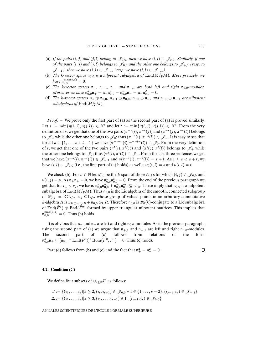- (a) If the pairs  $(i, j)$  and  $(j, l)$  belong to  $\mathscr{J}_{0,0}$ , then we have  $(i, l) \in \mathscr{J}_{0,0}$ . Similarly, if one *of the pairs*  $(i, j)$  *and*  $(j, l)$  *belongs to*  $\mathcal{J}_{0,0}$  *and the other one belongs to*  $\mathcal{J}_{+,1}$  *(resp. to J*−<sub>,1</sub>*)*, then we have  $(i, l)$  ∈  $\mathcal{J}_{+,1}$  (resp. we have  $(i, l)$  ∈  $\mathcal{J}_{-,1}$ ).
- (b) *The k-vector space*  $\mathfrak{n}_{0,0}$  *is a nilpotent subalgebra of*  $\text{End}(M/pM)$ *. More precisely, we have*  $\mathfrak{n}_{0,0}^{\max(c,d)} = 0$ .
- (c) *The* k-vector spaces  $\mathfrak{n}_{+}$ ,  $\mathfrak{n}_{+,1}$ ,  $\mathfrak{n}_{-}$ , and  $\mathfrak{n}_{-,1}$  are both left and right  $\mathfrak{n}_{0,0}$ -modules. *Moreover we have*  $\mathfrak{n}_{0,0}^d \mathfrak{n}_+ = \mathfrak{n}_+ \mathfrak{n}_{0,0}^c = \mathfrak{n}_{0,0}^c \mathfrak{n}_- = \mathfrak{n}_- \mathfrak{n}_{0,0}^d = 0.$
- (d) *The k-vector spaces*  $\mathfrak{n}_+ \oplus \mathfrak{n}_{0,0}$ ,  $\mathfrak{n}_{+,1} \oplus \mathfrak{n}_{0,0}$ ,  $\mathfrak{n}_{0,0} \oplus \mathfrak{n}_{-}$ , *and*  $\mathfrak{n}_{0,0} \oplus \mathfrak{n}_{-,1}$  *are nilpotent subalgebras of* End(M/pM)*.*

*Proof*. – We prove only the first part of (a) as the second part of (a) is proved similarly. Let  $s := \min\{\eta(i,j), \eta(j,l)\}\in\mathbb{N}^*$  and let  $t := \min\{\nu(i,j), \nu(j,l)\}\in\mathbb{N}^*$ . From the very definition of s, we get that one of the two pairs  $(\pi^{-s}(i), \pi^{-s}(j))$  and  $(\pi^{-s}(j), \pi^{-s}(l))$  belongs to  $\mathscr{J}_\text{-}$  while the other one belongs to  $\mathscr{J}_0$ ; thus  $(\pi^{-s}(i), \pi^{-s}(l)) \in \mathscr{J}_\text{-}$ . It is easy to see that for all  $u \in \{1,\ldots,s+t-1\}$  we have  $(\pi^{-s+u}(i), \pi^{-s+u}(l)) \in \mathscr{J}_0$ . From the very definition of t, we get that one of the two pairs  $(\pi^t(i), \pi^t(j))$  and  $(\pi^t(j), \pi^t(l))$  belongs to  $\mathscr{J}_+$  while the other one belongs to  $\mathscr{J}_0$ ; thus  $(\pi^t(i), \pi^t(l)) \in \mathscr{J}_+$ . From the last three sentences we get that we have  $(\pi^{-s}(i), \pi^{-s}(l)) \in \mathscr{J}_{-1}$  and  $\nu(\pi^{-s}(i), \pi^{-s}(l)) = s + t$ . As  $1 \leq s < s + t$ , we have  $(i, l) \in \mathscr{J}_{0,0}$  (i.e., the first part of (a) holds) as well as  $\eta(i, l) = s$  and  $\nu(i, l) = t$ .

We check (b). For  $\nu \in \mathbb{N}$  let  $\mathfrak{n}_{0,0}^{\nu}$  be the k-span of those  $\bar{e}_{i,j}$ 's for which  $(i, j) \in \mathscr{J}_{0,0}$  and  $\nu(i, j) = \nu$ . As  $\mathfrak{n}_+ \mathfrak{n}_+ = 0$ , we have  $\mathfrak{n}_{0,0}^{\nu} \mathfrak{n}_{0,0}^{\nu} = 0$ . From the end of the previous paragraph we get that for  $\nu_1 < \nu_2$ , we have:  $\mathfrak{n}_{0,0}^{\nu_1} \mathfrak{n}_{0,0}^{\nu_2} + \mathfrak{n}_{0,0}^{\nu_2} \mathfrak{n}_{0,0}^{\nu_1} \subseteq \mathfrak{n}_{0,0}^{\nu_1}$ . These imply that  $\mathfrak{n}_{0,0}$  is a nilpotent subalgebra of End $(M/pM)$ . Thus  $\mathfrak{n}_{0,0}$  is the Lie algebra of the smooth, connected subgroup of  $\mathscr{W}_{0,k} = GL_{\bar{F}^1} \times_k GL_{\bar{F}^0}$  whose group of valued points in an arbitrary commutative k-algebra R is  $1_{M\otimes_{W(k)}R}$  +  $\mathfrak{n}_{0,0}\otimes_k R$ . Therefore  $\mathfrak{n}_{0,0}$  is  $\mathcal{W}_0(k)$ -conjugate to a Lie subalgebra of End( $\bar{F}^1$ ) ⊕ End( $\bar{F}^0$ ) formed by upper triangular nilpotent matrices. This implies that  $\mathfrak{n}_{0,0}^{\max(c,d)}=0$ . Thus (b) holds.

It is obvious that  $n_+$  and  $n_-\$  are left and right  $n_{0,0}$ -modules. As in the previous paragraph, using the second part of (a) we argue that  $n_{+1}$  and  $n_{-1}$  are left and right  $n_{0,0}$ -modules.<br>The second part of (c) follows from relations of the form The second part of (c) follows from relations of the form  $\mathfrak{n}^d_{0,0}\mathfrak{n}_+ \subseteq [\mathfrak{n}_{0,0} \cap \text{End}(\bar{F}^1)]^d \text{Hom}(\bar{F}^0, \bar{F}^1) = 0.$  Thus (c) holds.

Part (d) follows from (b) and (c) and the fact that 
$$
n_+^2 = n_-^2 = 0
$$
.

## <span id="page-13-0"></span>**4.2. Condition (**C**)**

We define four subsets of  $\bigcup_{s>2}J^s$  as follows:

$$
\Gamma := \{ (i_1, \ldots, i_s) | s \ge 2, (i_\ell, i_{\ell+1}) \in \mathcal{J}_{0,0} \,\forall \,\ell \in \{1, \ldots, s-2\}, (i_{s-1}, i_s) \in \mathcal{J}_{+,2} \}
$$
  

$$
\Delta := \{ (i_1, \ldots, i_s) | s \ge 3, (i_1, \ldots, i_{s-1}) \in \Gamma, (i_{s-1}, i_s) \in \mathcal{J}_{0,0} \}
$$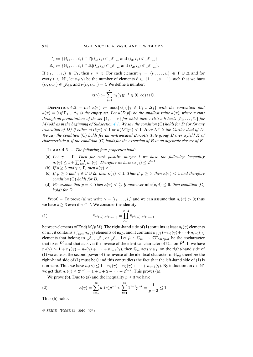$$
\Gamma_1 := \{ (i_1, \ldots, i_s) \in \Gamma | (i_1, i_s) \in \mathcal{J}_{+,1} \text{ and } (i_2, i_s) \notin \mathcal{J}_{+,1} \}
$$
  

$$
\Delta_1 := \{ (i_1, \ldots, i_s) \in \Delta | (i_1, i_s) \in \mathcal{J}_{+,1} \text{ and } (i_2, i_s) \notin \mathcal{J}_{+,1} \}.
$$

If  $(i_1,\ldots,i_s) \in \Gamma_1$ , then  $s \geq 3$ . For each element  $\gamma = (i_1,\ldots,i_s) \in \Gamma \cup \Delta$  and for every  $t \in \mathbb{N}^*$ , let  $n_t(\gamma)$  be the number of elements  $\ell \in \{1,\ldots,s-1\}$  such that we have  $(i_{\ell}, i_{\ell+1}) \in \mathscr{J}_{0,0}$  and  $\nu(i_{\ell}, i_{\ell+1}) = t$ . We define a number:

$$
\kappa(\gamma) := \sum_{t=1}^{\infty} n_t(\gamma) p^{-t} \in (0, \infty) \cap \mathbb{Q}.
$$

**DEFINITION** 4.2. – Let  $\kappa(\pi) := \max{\kappa(\gamma) | \gamma \in \Gamma_1 \cup \Delta_1}$  with the convention that  $\kappa(\pi)=0$  *if*  $\Gamma_1 \cup \Delta_1$  *is the empty set. Let*  $\kappa(D[p])$  *be the smallest value*  $\kappa(\pi)$ *, where*  $\pi$  *runs through all permutations of the set*  $\{1,\ldots,r\}$  *for which there exists a k-basis*  $\{\bar{e}_1,\ldots,\bar{e}_r\}$  *for* M/pM *as in the beginning of Subsection [4.1.](#page-11-1) We say the condition* (C) *holds for* D *(or for any truncation of* D) *if either*  $\kappa(D[p]) < 1$  *or*  $\kappa(D^{\vee}[p]) < 1$ *. Here*  $D^{\vee}$  *is the Cartier dual of* D. *We say the condition* (C) *holds for an* m*-truncated Barsotti Tate group* B *over a field* K *of characteristic* p*, if the condition* (C) *holds for the extension of* B *to an algebraic closure of* K*.*

<span id="page-14-0"></span>L 4.3. – *The following four properties hold:*

- (a) *Let* γ ∈ Γ*. Then for each positive integer* t *we have the following inequality*  $n_t(\gamma) \leq 1 + \sum_{u=1}^{t-1} n_u(\gamma)$ . *Therefore we have*  $n_t(\gamma) \leq 2^{t-1}$ .
- (b) *If*  $p \ge 3$  *and*  $\gamma \in \Gamma$ *, then*  $\kappa(\gamma) < 1$ *.*
- (c) If  $p \geq 5$  and  $\gamma \in \Gamma \cup \Delta$ , then  $\kappa(\gamma) < 1$ . Thus if  $p \geq 5$ , then  $\kappa(\pi) < 1$  and therefore *condition* (C) *holds for* D*.*
- (d) *We assume that*  $p = 3$ *. Then*  $\kappa(\pi) < \frac{4}{3}$ *. If moreover*  $\min\{c, d\} \leq 6$ *, then condition* (C) *holds for* D*.*

*Proof.* – To prove (a) we write  $\gamma = (i_1, \ldots, i_s)$  and we can assume that  $n_t(\gamma) > 0$ ; thus we have  $s \geq 3$  even if  $\gamma \in \Gamma$ . We consider the identity

(1) 
$$
\bar{e}_{\pi^t(i_1),\pi^t(i_{s-1})} = \prod_{\ell=1}^{s-2} \bar{e}_{\pi^t(i_\ell),\pi^t(i_{\ell+1})}
$$

between elements of End( $M/pM$ ). The right-hand side of (1) contains at least  $n_t(\gamma)$  elements of  $\mathfrak{n}_+$ , it contains  $\sum_{u>t} n_u(\gamma)$  elements of  $\mathfrak{n}_{0,0}$ , and it contains  $n_1(\gamma)+n_2(\gamma)+\cdots+n_{t-1}(\gamma)$ elements that belong to  $\mathscr{J}_+$ ,  $\mathscr{J}_0$ , or  $\mathscr{J}_-$ . Let  $\bar{\mu}$  :  $\mathbb{G}_m \to \mathbf{GL}_{M/pM}$  be the cocharacter that fixes  $\bar{F}^0$  and that acts via the inverse of the identical character of  $\mathbb{G}_m$  on  $\bar{F}^1$ . If we have  $n_t(\gamma) > 1 + n_1(\gamma) + n_2(\gamma) + \cdots + n_{t-1}(\gamma)$ , then  $\mathbb{G}_m$  acts via  $\bar{\mu}$  on the right-hand side of (1) via at least the second power of the inverse of the identical character of  $\mathbb{G}_m$ ; therefore the right-hand side of (1) must be 0 and this contradicts the fact that the left-hand side of (1) is non-zero. Thus we have  $n_t(\gamma) \leq 1 + n_1(\gamma) + n_2(\gamma) + \cdots + n_{t-1}(\gamma)$ . By induction on  $t \in \mathbb{N}^*$ we get that  $n_t(\gamma) \leq 2^{t-1} = 1 + 1 + 2 + \cdots + 2^{t-2}$ . This proves (a).

We prove (b). Due to (a) and the inequality  $p \geq 3$  we have

(2) 
$$
\kappa(\gamma) = \sum_{t=1}^{\infty} n_t(\gamma) p^{-t} < \sum_{t=1}^{\infty} 2^{t-1} p^{-t} = \frac{1}{p-2} \le 1.
$$

Thus (b) holds.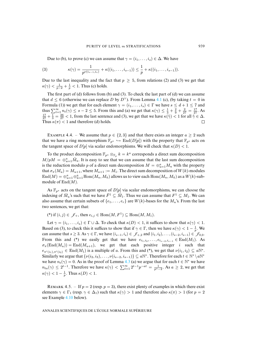Due to (b), to prove (c) we can assume that  $\gamma = (i_1, \ldots, i_s) \in \Delta$ . We have

(3) 
$$
\kappa(\gamma) = \frac{1}{p^{\nu(i_{s-1},i_s)}} + \kappa((i_1,\ldots,i_{s-1})) \leq \frac{1}{p} + \kappa((i_1,\ldots,i_{s-1})).
$$

Due to the last inequality and the fact that  $p \geq 5$ , from relations (2) and (3) we get that  $\kappa(\gamma) < \frac{1}{p-2} + \frac{1}{p} < 1$ . Thus (c) holds.

The first part of (d) follows from (b) and (3). To check the last part of (d) we can assume that  $d \leq 6$  (otherwise we can replace D by D<sup>∨</sup>). From Lemma [4.1](#page-12-0) (c), (by taking  $t = 0$  in Formula (1)) we get that for each element  $\gamma = (i_1, \ldots, i_s) \in \Gamma$  we have  $s \leq d + 1 \leq 7$  and thus  $\sum_{t=1}^{\infty} n_t(\gamma) \leq s-2 \leq 5$ . From this and (a) we get that  $\kappa(\gamma) \leq \frac{1}{3} + \frac{2}{9} + \frac{2}{27} = \frac{17}{27}$ . As  $\frac{17}{27} + \frac{1}{3} = \frac{26}{27} < 1$ , from the last sentence and (3), we get that we have  $\kappa(\tilde{\gamma}) < 1$  for all  $\tilde{\gamma} \in \Delta$ . Thus  $\kappa(\pi)$  < 1 and therefore (d) holds.

<span id="page-15-0"></span>EXAMPLE 4.4. – We assume that  $p \in \{2,3\}$  and that there exists an integer  $a \geq 2$  such that we have a ring monomorphism  $\mathbb{F}_{p^a} \hookrightarrow \text{End}(D[p])$  with the property that  $\mathbb{F}_{p^a}$  acts on the tangent space of  $D[p]$  via scalar endomorphisms. We will check that  $\kappa(D) < 1$ .

To the product decomposition  $\mathbb{F}_{p^a} \otimes_{\mathbb{F}_p} k = k^a$  corresponds a direct sum decomposition  $M/pM = \bigoplus_{u=1}^n \overline{M}_u$ . It is easy to see that we can assume that the last sum decomposition is the reduction modulo p of a direct sum decomposition  $M = \bigoplus_{u=1}^{a} M_u$  with the property that  $\sigma_{\pi}(M_u) = M_{u+1}$ , where  $M_{u+1} := M_1$ . The direct sum decomposition of  $W(k)$ -modules  $\mathrm{End}(M)=\oplus_{u=1}^a\oplus_{\tilde{u}=1}^a\mathrm{Hom}(M_u,M_{\tilde{u}})$  allows us to view each  $\mathrm{Hom}(M_u,M_{\tilde{u}})$  as a  $W(k)$ -submodule of  $\text{End}(M)$ .

As  $\mathbb{F}_{p^a}$  acts on the tangent space of  $D[p]$  via scalar endomorphisms, we can choose the indexing of  $\overline{M}_u$ 's such that we have  $\overline{F}^1 \subseteq \overline{M}_1$ . Thus we can assume that  $F^1 \subseteq M_1$ . We can also assume that certain subsets of  $\{e_1,\ldots,e_r\}$  are  $W(k)$ -bases for the  $M_u$ 's. From the last two sentences, we get that:

(\*) if  $(i, j) \in \mathcal{J}_+$ , then  $e_{i,j} \in \text{Hom}(M, F^1) \subseteq \text{Hom}(M, M_1)$ .

Let  $\gamma = (i_1, \ldots, i_s) \in \Gamma \cup \Delta$ . To check that  $\kappa(D) < 1$ , it suffices to show that  $\kappa(\gamma) < 1$ . Based on (3), to check this it suffices to show that if  $\gamma \in \Gamma$ , then we have  $\kappa(\gamma) < 1 - \frac{1}{p}$ . We can assume that  $s \geq 3$ . As  $\gamma \in \Gamma$ , we have  $(i_{s-1}, i_s) \in \mathcal{J}_{+2}$  and  $(i_1, i_2), \ldots, (i_{s-2}, i_{s-1}) \in \mathcal{J}_{0,0}$ . From this and (\*) we easily get that we have  $e_{i_1,i_2},\ldots,e_{i_{s-2},i_{s-1}} \in \text{End}(M_1)$ . As  $\sigma_{\pi}(\text{End}(M_u)) = \text{End}(M_{u+1}),$  we get that each positive integer i such that  $e_{\pi^i(i_1),\pi^i(i_2)} \in \text{End}(M_1)$  is a multiple of a. From this and (\*), we get that  $\nu(i_1,i_2) \subseteq a\mathbb{N}^*$ . Similarly we argue that  $\{\nu(i_2, i_3), \ldots, \nu(i_{s-2}, i_{s-1})\} \subseteq a\mathbb{N}^*$ . Therefore for each  $t \in \mathbb{N}^* \setminus a\mathbb{N}^*$ we have  $n_t(\gamma)=0$ . As in the proof of Lemma [4.3](#page-14-0) (a) we argue that for each  $t \in \mathbb{N}^*$  we have  $n_{ta}(\gamma) \leq 2^{t-1}$ . Therefore we have  $\kappa(\gamma) < \sum_{t=1}^{\infty} 2^{t-1} p^{-at} = \frac{1}{p^a-2}$ . As  $a \geq 2$ , we get that  $\kappa(\gamma) < 1 - \frac{1}{p}$ . Thus  $\kappa(D) < 1$ .

REMARK 4.5. – If  $p = 2$  (resp.  $p = 3$ ), there exist plenty of examples in which there exist elements  $\gamma \in \Gamma_1$  (resp.  $\gamma \in \Delta_1$ ) such that  $\kappa(\gamma) > 1$  and therefore also  $\kappa(\pi) > 1$  (for  $p = 2$ ) see Example [4.10](#page-21-0) below).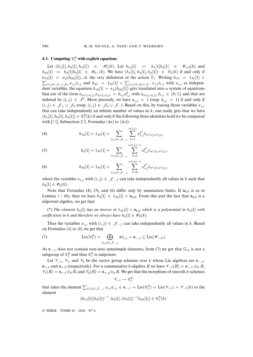## <span id="page-16-0"></span>**4.3.** Computing  $\mathscr{C}_1^0$  with explicit equations

Let  $(h_1[1], h_2[1], h_3[1]) \in \mathcal{H}_1(k)$ . Let  $h_{12}[1] := h_1[1]h_2[1] \in \mathcal{W}_{+0}(k)$  and  $h_{23}[1] := h_2[1|h_3[1] \in \mathcal{W}_{0-}(k)$ . We have  $(h_1[1], h_2[1], h_3[1]) \in \mathcal{C}_1(k)$  if and only if  $h_{12}[1] = \sigma_{\phi}(h_{23}[1]),$  cf. the very definition of the action  $\mathbb{T}_1$ . Writing  $h_{12} = 1_M[1] +$  $\sum_{(i,j)\in\mathscr{J}_+\cup\mathscr{J}_0} x_{i,j}\bar{e}_{i,j}$  and  $h_{23} = 1_M[1] + \sum_{(i,j)\in\mathscr{J}_0\cup\mathscr{J}_-} x_{i,j}\bar{e}_{i,j}$  with  $x_{i,j}$  as independent variables, the equation  $h_{12}[1] = \sigma_{\phi}(h_{23}[1])$  gets translated into a system of equations that are of the form  $a_{\pi(i),\pi(j)}x_{\pi(i),\pi(j)} = b_{i,j}x_{i,j}^p$  with  $a_{\pi(i),\pi(j)}, b_{i,j} \in \{0,1\}$  and that are indexed by  $(i, j) \in J^2$ . More precisely, we have  $a_{i,j} = 1$  (resp.  $b_{i,j} = 1$ ) if and only if  $(i, j)$  ∈  $\mathscr{J}_+ \cup \mathscr{J}_0$  (resp.  $(i, j) \in \mathscr{J}_0 \cup \mathscr{J}_-$ ). Based on this, by tracing those variables  $x_{i,j}$ that can take independently an infinite number of values in  $k$ , one easily gets that we have  $(h_1[1], h_2[1], h_3[1]) \in \mathcal{C}_1^0(k)$  if and only if the following three identities hold (to be compared with  $[25]$ , Subsection 2.3, Formulas  $(4a)$  to  $(4c)$ ):

(4) 
$$
h_{12}[1] = 1_M[1] + \sum_{(i,j)\in\mathscr{J}_{-,1}} \sum_{\ell=1}^{\nu(i,j)} x_{i,j}^{p^{\ell}} \bar{e}_{\pi^{\ell}(i),\pi^{\ell}(j)},
$$

(5) 
$$
h_2[1] = 1_M[1] + \sum_{(i,j) \in \mathscr{J}_{-,1}} \sum_{\ell=1}^{\nu(i,j)-1} x_{i,j}^{p^{\ell}} \bar{e}_{\pi^{\ell}(i),\pi^{\ell}(j)},
$$

(6) 
$$
h_{23}[1] = 1_M[1] + \sum_{(i,j)\in\mathscr{J}_{-,1}} \sum_{\ell=0}^{\nu(i,j)-1} x_{i,j}^{p^{\ell}} \bar{e}_{\pi^{\ell}(i),\pi^{\ell}(j)},
$$

where the variables  $x_{i,j}$  with  $(i, j) \in \mathscr{J}_{-1}$  can take independently all values in k such that  $h_2[1] \in \mathscr{W}_0(k)$ .

Note that Formulas (4), (5), and (6) differ only by summation limits. If  $n_{0,0}$  is as in Lemma [4.1](#page-12-0) (b), then we have  $h_2[1] \in 1_M[1] + \mathfrak{n}_{0,0}$ . From this and the fact that  $\mathfrak{n}_{0,0}$  is a nilpotent algebra, we get that:

(\*) The element  $h_2[1]$  has an inverse in  $1_M[1] + \mathfrak{n}_{0,0}$  which is a polynomial in  $h_2[1]$  with *coefficients in k and therefore we always have*  $h_2[1] \in \mathcal{W}_0(k)$ *.* 

Thus the variables  $x_{i,j}$  with  $(i, j) \in \mathscr{J}_{-,1}$  can take independently all values in k. Based on Formulas (4) to (6) we get that

(7) 
$$
\operatorname{Lie}(\mathscr{C}_1^0) = \bigoplus_{(i,j)\in \mathscr{J}_{-,1}} k\overline{e}_{i,j} = \mathfrak{n}_{-,1} \subseteq \operatorname{Lie}(\mathscr{W}_{-,k}).
$$

As  $n_{-,1}$  does not contain non-zero semisimple elements, from (7) we get that  $\mathbb{G}_m$  is not a subgroup of  $\mathcal{C}_1^0$  and thus  $\mathcal{C}_1^0$  is unipotent.

Let  $\mathcal{V}_{-1}$ ,  $\mathcal{V}_1$ , and  $\mathcal{V}_2$  be the vector group schemes over k whose Lie algebras are  $\mathfrak{n}_{-1}$ ,  $n_{+1}$  and  $n_{+2}$  (respectively). For a commutative k-algebra R we have  $\mathcal{V}_{-1}(R) = n_{-1} \otimes_k R$ ,  $\mathcal{V}_1(R) = \mathfrak{n}_{+,1} \otimes_k R$ , and  $\mathcal{V}_2(R) = \mathfrak{n}_{+,2} \otimes_k R$ . We get that the morphism of smooth k-schemes

 $\mathscr{V}_{-1} \to \mathscr{C}_1^0$ 

that takes the element  $\sum_{(i,j)\in\mathscr{J}_{-1}} x_{i,j} \bar{e}_{i,j} \in \mathfrak{n}_{-,1} = \text{Lie}(\mathscr{C}_1^0) = \text{Lie}(\mathscr{V}_{-1}) = \mathscr{V}_{-1}(k)$  to the element

$$
(h_{12}[1](h_2[1])^{-1}, h_2[1], (h_2[1])^{-1}h_{23}[1]) \in \mathscr{C}_1^0(k)
$$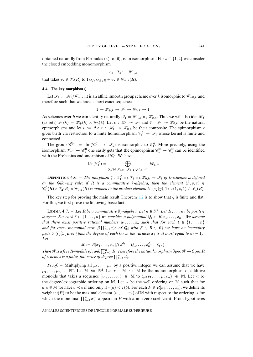obtained naturally from Formulas (4) to (6), is an isomorphism. For  $s \in \{1, 2\}$  we consider the closed embedding monomorphism

$$
\varepsilon_s: \mathscr{V}_s \hookrightarrow \mathscr{W}_{+,k}
$$

that takes  $v_s \in \mathscr{V}_s(R)$  to  $1_{M/pM\otimes_k R} + v_s \in \mathscr{W}_{+,k}(R)$ .

## **4.4. The key morphism** ζ

Let  $\mathcal{I}_1 := \mathcal{H}_1/\mathcal{W}_{-,k}$ ; it is an affine, smooth group scheme over k isomorphic to  $\mathcal{W}_{+,0,k}$  and therefore such that we have a short exact sequence

$$
1 \to \mathscr{W}_{+,k} \to \mathscr{I}_1 \to \mathscr{W}_{0,k} \to 1.
$$

As schemes over k we can identify naturally  $\mathcal{I}_1 = \mathcal{W}_{+,k} \times_k \mathcal{W}_{0,k}$ . Thus we will also identify (as sets)  $\mathscr{I}_1(k) = \mathscr{W}_+(k) \times \mathscr{W}_0(k)$ . Let  $\epsilon : \mathscr{H}_1 \to \mathscr{I}_1$  and  $\theta : \mathscr{I}_1 \to \mathscr{W}_{0,k}$  be the natural epimorphisms and let  $\iota := \theta \circ \epsilon : \mathcal{H}_1 \to \mathcal{W}_{0,k}$  be their composite. The epimorphism  $\epsilon$ gives birth via restriction to a finite homomorphism  $\mathcal{C}_1^0 \to \mathcal{I}_1$  whose kernel is finite and connected.

The group  $\tilde{\mathscr{C}}_1^0 := \text{Im}(\mathscr{C}_1^0 \to \mathscr{I}_1)$  is isomorphic to  $\mathscr{C}_1^0$ . More precisely, using the isomorphism  $\mathcal{V}_{-1} \to \mathcal{C}_1^0$  one easily gets that the epimorphism  $\mathcal{C}_1^0 \to \tilde{\mathcal{C}}_1^0$  can be identified with the Frobenius endomorphism of  $\mathcal{C}_1^0$ . We have

$$
\mathrm{Lie}(\tilde{\mathscr{C}}_1^0) = \bigoplus_{(i,j) \in \mathscr{J}_{0,0} \cup \mathscr{J}_{+,1}, \eta(i,j)=1} k\bar{e}_{i,j}.
$$

DEFINITION 4.6. – *The morphism*  $\zeta : \tilde{e}_1^0 \times_k \mathcal{V}_2 \times_k \mathcal{W}_{0,k} \to \mathcal{I}_1$  *of k-schemes is defined by the following rule: if* R *is a commutative k-algebra, then the element*  $(\tilde{h}, y, z) \in$  $\widetilde{\mathscr{C}}_1^0(R) \times \mathscr{V}_2(R) \times \mathscr{W}_{0,k}(R)$  *is mapped to the product element*  $\tilde{h} \cdot (\varepsilon_2(y), 1) \cdot \epsilon(1, z, 1) \in \mathscr{I}_1(R)$ .

The key step for proving the main result Theorem [1.2](#page-2-0) is to show that  $\zeta$  is finite and flat. For this, we first prove the following basic fact.

<span id="page-17-0"></span>LEMMA 4.7. – Let R be a commutative  $\mathbb{F}_p$ -algebra. Let  $n \in \mathbb{N}^*$ . Let  $d_1, \ldots, d_n$  be positive *integers. For each*  $\ell \in \{1, ..., n\}$  *we consider a polynomial*  $Q_{\ell} \in R[x_1, ..., x_n]$ *. We assume that there exist positive rational numbers*  $\mu_1, \ldots, \mu_n$  *such that for each*  $\ell \in \{1, \ldots, n\}$ and for every monomial term  $\beta \prod_{i=1}^n x_i^{v_i}$  of  $Q_\ell$  with  $\beta \in R \setminus \{0\}$  we have an inequality  $\mu_{\ell}d_{\ell} > \sum_{i=1}^{n} \mu_{i}v_{i}$  *(thus the degree of each*  $Q_{\ell}$  *in the variable*  $x_{\ell}$  *is at most equal to*  $d_{\ell} - 1$ *). Let*

 $\mathscr{R} := R[x_1, \ldots, x_n]/(x_1^{d_1} - Q_1, \ldots, x_n^{d_n} - Q_n).$ 

*Then*  $\mathscr R$  *is a free* R-module of rank  $\prod_{\ell=1}^n d_\ell$ . Therefore the natural morphism  $\operatorname{Spec} \mathscr R \to \operatorname{Spec} R$ *of schemes is a finite, flat cover of degree*  $\prod_{\ell=1}^n d_\ell$ .

*Proof.* – Multiplying all  $\mu_1, \ldots, \mu_n$  by a positive integer, we can assume that we have  $\mu_1,\ldots,\mu_n \in \mathbb{N}^*$ . Let  $\mathbb{M} := \mathbb{N}^d$ . Let  $\tau : \mathbb{M} \hookrightarrow \mathbb{M}$  be the monomorphism of additive monoids that takes a sequence  $(v_1,\ldots,v_n) \in \mathbb{M}$  to  $(\mu_1v_1,\ldots,\mu_nv_n) \in \mathbb{M}$ . Let  $\lt$  be the degree-lexicographic ordering on M. Let  $\prec$  be the well ordering on M such that for  $a, b \in \mathbb{M}$  we have  $a \prec b$  if and only if  $\tau(a) < \tau(b)$ . For each  $P \in R[x_1, \ldots, x_n]$ , we define its weight  $\omega(P)$  to be the maximal element  $(v_1,\ldots,v_n)$  of M with respect to the ordering  $\prec$  for which the monomial  $\prod_{i=1}^{n} x_i^{v_i}$  appears in P with a non-zero coefficient. From hypotheses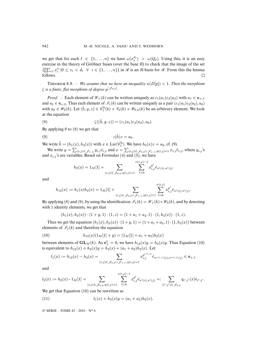we get that for each  $\ell \in \{1, ..., n\}$  we have  $\omega(x_{\ell}^{d_{\ell}}) > \omega(Q_{\ell})$ . Using this, it is an easy exercise in the theory of Gröbner bases (over the base  $R$ ) to check that the image of the set  $\{\prod_{i=1}^n x_i^{v_i}|0 \le v_i < d_i \quad \forall \quad i \in \{1, \ldots, n\}\}\$ in  $\mathscr R$  is an *R*-basis for  $\mathscr R$ . From this the lemma follows.

<span id="page-18-0"></span>THEOREM 4.8. – *We assume that we have an inequality*  $\kappa(D[p]) < 1$ . Then the morphism  $\zeta$  *is a finite, flat morphism of degree*  $p^{\mid \mathscr{J}_{0,0}\mid}$ *.* 

*Proof.* – Each element of  $\mathcal{W}_+(k)$  can be written uniquely as  $\varepsilon_1(a_1)\varepsilon_2(a_2)$  with  $a_1 \in \mathfrak{n}_{+,1}$ and  $a_2 \in \mathfrak{n}_{+,2}$ . Thus each element of  $\mathcal{I}_1(k)$  can be written uniquely as a pair  $(\varepsilon_1(a_1)\varepsilon_2(a_2), a_0)$ with  $a_0 \in \mathcal{W}_0(k)$ . Let  $(\tilde{h}, y, z) \in \tilde{\mathcal{E}}_1^0(k) \times \mathcal{V}_2(k) \times \mathcal{W}_{0,k}(k)$  be an arbitrary element. We look at the equation

(8) 
$$
\zeta((\tilde{h}, y, z)) = (\varepsilon_1(a_1)\varepsilon_2(a_2), a_0).
$$

By applying  $\theta$  to (8) we get that

$$
\iota(\tilde{h})z = a_0.
$$

We write  $\tilde{h} = (h_1(x), h_2(x))$  with  $x \in \text{Lie}(\tilde{\mathscr{C}}_1^0)$ . We have  $h_2(x)z = a_0$ , cf. (9).

We write  $y = \sum_{(i,j) \in \mathcal{J}_+,2} y_{i,j} \bar{e}_{i,j}$  and  $x = \sum_{(i,j) \in \mathcal{J}_0,0} \sum_{\mathcal{J}_{+,1},\eta(i,j)=1} x_{i,j} \bar{e}_{i,j}$ , where  $y_{i,j}$ 's and  $x_{i,j}$ 's are variables. Based on Formulas (4) and (5), we have

$$
h_2(x) = 1_M[1] + \sum_{(i,j) \in \mathcal{J}_{0,0}, \eta(i,j)=1} \sum_{l=0}^{\nu(i,j)-1} x_{i,j}^{p^l} \bar{e}_{\pi^l(i),\pi^l(j)}
$$

and

$$
h_{12}(x) := h_1(x)h_2(x) = 1_M[1] + \sum_{(i,j) \in \mathcal{J}_{0,0} \cup \mathcal{J}_{+,1}, \eta(i,j)=1} \sum_{l=0}^{\nu(i,j)} x_{i,j}^{p^l} \bar{e}_{\pi^l(i),\pi^l(j)}.
$$

By applying (8) and (9), by using the identification  $\mathcal{I}_1(k) = \mathcal{W}_+(k) \times \mathcal{W}_0(k)$ , and by denoting with 1 identity elements, we get that

$$
(h_1(x), h_2(x)) \cdot (1 + y, 1) \cdot (1, z) = (1 + a_1 + a_2, 1) \cdot (1, h_2(x)) \cdot (1, z).
$$

Thus we get the equation  $(h_1(x), h_2(x)) \cdot (1 + y, 1) = (1 + a_1 + a_2, 1) \cdot (1, h_2(x))$  between elements of  $\mathcal{I}_1(k)$  and therefore the equation

(10) 
$$
h_{12}(x)(1_M[1]+y) = (1_M[1]+a_1+a_2)h_2(x)
$$

between elements of  $GL_M(k)$ . As  $\mathfrak{n}_+^2 = 0$ , we have  $h_{12}(x)y = h_2(x)y$ . Thus Equation (10) is equivalent to  $h_{12}(x) + h_2(x)y = h_2(x) + (a_1 + a_2)h_2(x)$ . Let

$$
l_1(x) := h_{12}(x) - h_2(x) = \sum_{(i,j) \in \mathcal{J}_{0,0} \cup \mathcal{J}_{+,1}, \eta(i,j) = 1} x_{i,j}^{p^{\nu(i,j)}} \bar{e}_{\pi^{\nu(i,j)}(i), \pi^{\nu(i,j)}(j)} \in \mathfrak{n}_{+,1}
$$

and

$$
l_2(x) := h_2(x) - 1_M[1] = \sum_{(i,j) \in \mathscr{J}_{0,0}, \eta(i,j) = 1} \sum_{l=0}^{\nu(i,j)-1} x_{i,j}^{p^l} \bar{e}_{\pi^l(i), \pi^l(j)} =: \sum_{(i',j') \in \mathscr{J}_{0,0}} q_{i',j'}(x) \bar{e}_{i',j'}.
$$

We get that Equation (10) can be rewritten as

(11) 
$$
l_1(x) + h_2(x)y = (a_1 + a_2)h_2(x).
$$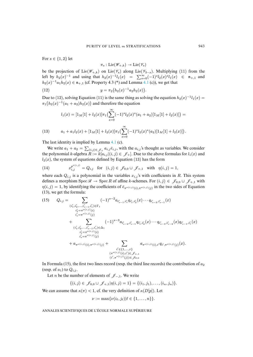For  $s \in \{1,2\}$  let

$$
\pi_s: \mathrm{Lie}(\mathscr{W}_{+,k}) \twoheadrightarrow \mathrm{Lie}(\mathscr{V}_s)
$$

be the projection of Lie( $\mathscr{W}_{+,k}$ ) on Lie( $\mathscr{V}_s$ ) along Lie( $\mathscr{V}_{3-s}$ ). Multiplying (11) from the left by  $h_2(x)^{-1}$  and using that  $h_2(x)^{-1}l_1(x) = \sum_{s=0}^{\infty} (-1)^s l_2(x)^s l_1(x) \in \mathfrak{n}_{+,1}$  and  $h_2(x)^{-1}a_1h_2(x) \in \mathfrak{n}_{+,1}$  (cf. Property 4.3 (\*) and Lemma [4.1](#page-12-0) (c)), we get that

(12) 
$$
y = \pi_2(h_2(x)^{-1}a_2h_2(x)).
$$

Due to (12), solving Equation (11) is the same thing as solving the equation  $h_2(x)^{-1}l_1(x) =$  $\pi_1(h_2(x)^{-1}(a_1 + a_2)h_2(x))$  and therefore the equation

$$
l_1(x)=[1_M[1]+l_2(x)]\pi_1(\sum_{s=0}^{\infty}(-1)^sl_2(x)^s(a_1+a_2)[1_M[1]+l_2(x)])=
$$

(13) 
$$
a_1 + a_1 l_2(x) + [1_M[1] + l_2(x)]\pi_1 \left( \sum_{s=0}^{\infty} (-1)^s l_2(x)^s (a_2) [1_M[1] + l_2(x)] \right).
$$

The last identity is implied by Lemma [4.1](#page-12-0) (c).

We write  $a_1 + a_2 = \sum_{(i,j) \in \mathcal{J}_+} a_{i,j} \bar{e}_{i,j}$ , with the  $a_{i,j}$ 's thought as variables. We consider the polynomial k-algebra  $R := k[a_{i,j} | (i,j) \in \mathcal{J}_+].$  Due to the above formulas for  $l_1(x)$  and  $l_2(x)$ , the system of equations defined by Equation (13) has the form

(14) 
$$
x_{i,j}^{p^{\nu(i,j)}} = Q_{i,j} \text{ for } (i,j) \in \mathcal{J}_{0,0} \cup \mathcal{J}_{+,1} \text{ with } \eta(i,j) = 1,
$$

where each  $Q_{i,j}$  is a polynomial in the variables  $x_{i,j}$ 's with coefficients in R. This system defines a morphism Spec  $\mathcal{R} \to \text{Spec } R$  of affine k-schemes. For  $(i, j) \in \mathcal{J}_{0,0} \cup \mathcal{J}_{+,1}$  with  $\eta(i, j)=1$ , by identifying the coefficients of  $\bar{e}_{\pi^{\nu(i,j)}(i), \pi^{\nu(i,j)}(j)}$  in the two sides of Equation (13), we get the formula:

(15) 
$$
Q_{i,j} = \sum_{\substack{(i'_1, i'_2, \dots, i'_{s-1}, i'_s) \in \Gamma_1 \\ i'_1 = \pi^{\nu(i,j)}(i) \\ i'_s = \pi^{\nu(i,j)}(j)}} (-1)^{s-2} a_{i'_{s-1}, i'_s} q_{i'_1, i'_2}(x) \cdots q_{i'_{s-2}, i'_{s-1}}(x) \n+ \sum_{\substack{(i'_1, i'_2, \dots, i'_{s-1}, i'_s) \in \Delta_1 \\ i'_1 = \pi^{\nu(i,j)}(i) \\ i'_s = \pi^{\nu(i,j)}(j)}} (-1)^{s-3} a_{i'_{s-2}, i'_{s-1}} q_{i'_1, i'_2}(x) \cdots q_{i'_{s-3}, i'_{s-2}}(x) q_{i'_{s-1}, i'_s}(x) \n+ \sum_{\substack{i'_1 = \pi^{\nu(i,j)}(i) \\ i'_s = \pi^{\nu(i,j)}(j)}} a_{\pi^{\nu(i,j)}(i), i'} q_{i', \pi^{\nu(i,j)}(j)}(x).
$$
\n+  $a_{\pi^{\nu(i,j)}(i), \pi^{\nu(i,j)}(j)} + \sum_{\substack{(i', \pi^{\nu(i,j)}(i), i') \in \mathcal{J}_{+,1} \\ (i', \pi^{\nu(i,j)}(j)) \in \mathcal{J}_{0,0}}} a_{\pi^{\nu(i,j)}(j)} p_{0,0}$ 

In Formula (15), the first two lines record (resp. the third line records) the contribution of  $a_2$ (resp. of  $a_1$ ) to  $Q_{i,j}$ .

Let n be the number of elements of *J*−,1. We write

$$
\{(i,j)\in \mathscr{J}_{0,0}\cup \mathscr{J}_{+,1}|\eta(i,j)=1\}=\{(i_1,j_1),\ldots,(i_n,j_n)\}.
$$

We can assume that  $\kappa(\pi) < 1$ , cf. the very definition of  $\kappa(D[p])$ . Let

$$
\nu := \max{\lbrace \nu(i_\ell, j_\ell) | \ell \in \lbrace 1, \ldots, n \rbrace \rbrace}.
$$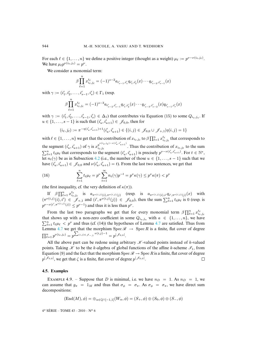For each  $\ell \in \{1, \ldots, n\}$  we define a positive integer (thought as a weight)  $\mu_{\ell} := p^{\nu - \nu(i_{\ell}, j_{\ell})}$ . We have  $\mu_{\ell} p^{\nu(i_{\ell},j_{\ell})} = p^{\nu}$ .

We consider a monomial term:

$$
\beta \prod_{\ell=1}^n x_{i_\ell,j_\ell}^{t_\ell} = (-1)^{s-2} a_{i'_{s-1},i'_s} q_{i'_1,i'_2}(x) \cdots q_{i'_{s-2},i'_{s-1}}(x)
$$

with  $\gamma := (i'_1, i'_2, \dots, i'_{s-1}, i'_s) \in \Gamma_1$  (resp.

$$
\beta \prod_{\ell=1}^n x_{i_\ell,j_\ell}^{t_\ell} = (-1)^{s-3} a_{i'_{s-2},i'_{s-1}} q_{i'_1,i'_2}(x) \cdots q_{i'_{s-3},i'_{s-2}}(x) q_{i'_{s-1},i'_s}(x)
$$

with  $\gamma := (i'_1, i'_2, \dots, i'_{s-1}, i'_s) \in \Delta_1$ ) that contributes via Equation (15) to some  $Q_{i_a, j_a}$ . If  $u \in \{1, ..., s-1\}$  is such that  $(i'_u, i'_{u+1}) \in \mathcal{J}_{0,0}$ , then for

$$
(i_{\ell}, j_{\ell}) := \pi^{-\eta(i'_{u}, i'_{u+1}) + 1}(i'_{u}, i'_{u+1}) \in \{(i, j) \in \mathcal{J}_{0,0} \cup \mathcal{J}_{+,1} | \eta(i, j) = 1\}
$$

with  $\ell \in \{1,\ldots,n\}$  we get that the contribution of  $x_{i_\ell,j_\ell}$  to  $\beta \prod_{\ell=1}^n x_{i_\ell,j_\ell}^{t_\ell}$  that corresponds to the segment  $(i'_u, i'_{u+1})$  of  $\gamma$  is  $x_{i_\ell, j_\ell}^{p^{(i_\ell, j_\ell)-p(i'_u, i'_{u+1})}}$ . Thus the contribution of  $x_{i_\ell, j_\ell}$  to the sum  $\sum_{\ell=1}^n t_\ell \mu_\ell$  that corresponds to the segment  $(i'_u, i'_{u+1})$  is precisely  $p^{\nu-\nu(i'_u, i'_{u+1})}$ . For  $t \in \mathbb{N}^*$ , let  $n_t(\gamma)$  be as in Subsection [4.2](#page-13-0) (i.e., the number of those  $u \in \{1,\ldots,s-1\}$  such that we have  $(i'_u, i'_{u+1}) \in \mathscr{J}_{0,0}$  and  $\nu(i'_u, i'_{u+1}) = t$ ). From the last two sentences, we get that

(16) 
$$
\sum_{\ell=1}^n t_\ell \mu_\ell = p^\nu \sum_{t=1}^\infty n_t(\gamma) p^{-t} = p^\nu \kappa(\gamma) \le p^\nu \kappa(\pi) < p^\nu
$$

(the first inequality, cf. the very definition of  $\kappa(\pi)$ ).

If  $\beta \prod_{\ell=1}^n x_{i_\ell,j_\ell}^{t_\ell}$  is  $a_{\pi^{\nu(i,j)}(i),\pi^{\nu(i,j)}(j)}$  (resp. is  $a_{\pi^{\nu(i,j)}(i),i'} q_{i',\pi^{\nu(i,j)}(j)}(x)$  with  $(\pi^{\nu(i,j)}(i), i') \in \mathscr{J}_{+,1}$  and  $(i', \pi^{\nu(i,j)}(j)) \in \mathscr{J}_{0,0}$ , then the sum  $\sum_{\ell=1}^{n} t_{\ell} \mu_{\ell}$  is 0 (resp. is  $p^{\nu-\nu(i',\pi^{\nu(i,j)}(j))} \leq p^{\nu-1}$ ) and thus it is less than  $p^{\nu}$ .

From the last two paragraphs we get that for every monomial term  $\beta \prod_{\ell=1}^n x_{i_\ell,j_\ell}^{t_\ell}$ that shows up with a non-zero coefficient in some  $Q_{i_a,j_a}$  with  $a \in \{1,\ldots,n\}$ , we have  $\sum_{\ell=1}^n t_\ell \mu_\ell < p^\nu$  and thus (cf. (14)) the hypotheses of Lemma [4.7](#page-17-0) are satisfied. Thus from Lemma [4.7](#page-17-0) we get that the morphism Spec  $\mathcal{R} \rightarrow$  Spec R is a finite, flat cover of degree  $\prod_{\ell=1}^n p^{\nu(i_\ell,j_\ell)} = p^{\sum_{(i,j)\in\mathscr{I}_{-,1}}\nu(i,j)-1} = p^{|\mathscr{J}_{0,0}|}.$ 

All the above part can be redone using arbitrary  $\mathcal K$ -valued points instead of k-valued points. Taking  $K$  to be the k-algebra of global functions of the affine k-scheme  $\mathcal{I}_1$ , from Equation (9) and the fact that the morphism Spec  $\mathcal{R} \to \text{Spec } R$  is a finite, flat cover of degree  $p^{|\mathcal{J}_{0,0}|}$ , we get that  $\zeta$  is a finite, flat cover of degree  $p^{|\mathcal{J}_{0,0}|}$ .  $p^{|\mathscr{I}_{0,0}|}$ , we get that  $\zeta$  is a finite, flat cover of degree  $p^{|\mathscr{I}_{0,0}|}$ .

## **4.5. Examples**

EXAMPLE 4.9. – Suppose that D is minimal, i.e. we have  $n_D = 1$ . As  $n_D = 1$ , we can assume that  $g_{\pi} = 1_M$  and thus that  $\sigma_{\phi} = \sigma_{\pi}$ . As  $\sigma_{\phi} = \sigma_{\pi}$ , we have direct sum decompositions:

$$
(\text{End}(M), \phi) = \oplus_{\alpha \in \mathbb{Q} \cap [-1,1]} (W_{\alpha}, \phi) = (S_+, \phi) \oplus (S_0, \phi) \oplus (S_-, \phi)
$$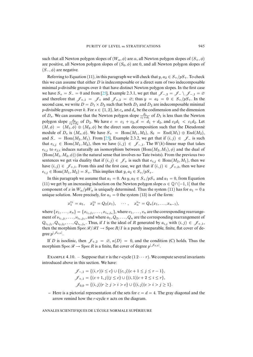such that all Newton polygon slopes of  $(W_\alpha, \phi)$  are  $\alpha$ , all Newton polygon slopes of  $(S_+, \phi)$ are positive, all Newton polygon slopes of  $(S_0, \phi)$  are 0, and all Newton polygon slopes of  $(S_-, \phi)$  are negative.

Referring to Equation (11), in this paragraph we will check that  $y, a_2 \in S_+/pS_+$ . To check this we can assume that either  $D$  is indecomposable or a direct sum of two indecomposable minimal p-divisible groups over  $k$  that have distinct Newton polygon slopes. In the first case we have  $S_+ = S_- = 0$  and from [\[25\]](#page-30-7), Example 2.3.1, we get that  $\mathscr{J}_{-2} = \mathscr{J}_{-} \setminus \mathscr{J}_{-1} = \emptyset$ and therefore that  $\mathcal{J}_{+,1} = \mathcal{J}_+$  and  $\mathcal{J}_{+,2} = \emptyset$ ; thus  $y = a_2 = 0 \in S_+/pS_+$ . In the second case, we write  $D = D_1 \times D_2$  such that both  $D_1$  and  $D_2$  are indecomposable minimal p-divisible groups over k. For  $s \in \{1,2\}$ , let  $c_s$  and  $d_s$  be the codimension and the dimension of  $D_s$ . We can assume that the Newton polygon slope  $\frac{d_1}{c_1+d_1}$  of  $D_1$  is less than the Newton polygon slope  $\frac{d_2}{c_2+d_2}$  of  $D_2$ . We have  $c = c_1 + c_2, d = d_1 + d_2$ , and  $c_2d_1 < c_1d_2$ . Let  $(M, \phi) = (M_1, \phi) \oplus (M_2, \phi)$  be the direct sum decomposition such that the Dieudonné module of  $D_s$  is  $(M_s, \phi)$ . We have  $S_+ = \text{Hom}(M_1, M_2)$ ,  $S_0 = \text{End}(M_1) \oplus \text{End}(M_2)$ , and  $S_-=\text{Hom}(M_2, M_1)$ . From [\[25\]](#page-30-7), Example 2.3.2, we get that if  $(i, j) \in \mathscr{J}_-$  is such that  $e_{i,j} \in \text{Hom}(M_1, M_2)$ , then we have  $(i, j) \in \mathscr{J}_{-,1}$ . The  $W(k)$ -linear map that takes  $e_{i,j}$  to  $e_{j,i}$  induces naturally an isomorphism between (Hom $(M_2, M_1)$ ,  $\phi$ ) and the dual of  $(Hom(M_1, M_2, \phi))$  (in the natural sense that involves no Tate twists). From the previous two sentences we get via duality that if  $(i, j) \in \mathscr{J}_+$  is such that  $e_{i,j} \in \text{Hom}(M_2, M_1)$ , then we have  $(i, j) \in \mathscr{J}_{+,1}$ . From this and the first case, we get that if  $(i, j) \in \mathscr{J}_{+,2}$ , then we have  $e_{i,j} \in \text{Hom}(M_1, M_2) = S_+$ . This implies that  $y, a_2 \in S_+/pS_+$ .

In this paragraph we assume that  $a_1 = 0$ . As  $y, a_2 \in S_+/pS_+$  and  $a_1 = 0$ , from Equation (11) we get by an increasing induction on the Newton polygon slope  $\alpha \in \mathbb{Q} \cap [-1, 1]$  that the component of x in  $W_\alpha / pW_\alpha$  is uniquely determined. Thus the system (11) has for  $a_1 = 0$  a unique solution. More precisely, for  $a_1 = 0$  the system (13) is of the form:

$$
x_1^{v_1} = a_1
$$
,  $x_2^{v_2} = Q_2(x_1)$ ,  $\cdots$ ,  $x_n^{v_n} = Q_n(x_1, \ldots, x_{n-1})$ ,

where  $\{x_1,\ldots,x_n\} = \{x_{i_1,j_1},\ldots,x_{i_n,j_n}\}$ , where  $v_1,\ldots,v_n$  are the corresponding rearrangement of  $\nu_{i_1,j_1},\ldots,\nu_{i_n,j_n}$ , and where  $a_1, Q_2,\ldots,Q_n$  are the corresponding rearrangement of  $Q_{i_1,j_1}, Q_{i_2,j_2}, \ldots, Q_{i_n,j_n}$ . Thus, if I is the ideal of R generated by  $a_{i,j}$  with  $(i, j) \in \mathscr{J}_{+,1}$ , then the morphism Spec  $\mathcal{R}/\mathcal{R}I \to \text{Spec } R/I$  is a purely inseparable, finite, flat cover of de- $\mathrm{gree}\ p^{|\mathscr{J}_{0,0}|}.$ 

If D is isoclinic, then  $\mathscr{J}_{+,2} = \emptyset$ ,  $\kappa(D) = 0$ , and the condition (C) holds. Thus the morphism  $\text{Spec} \mathcal{R} \to \text{Spec} R$  is a finite, flat cover of degree  $p^{|\mathcal{J}_{0,0}|}$ .

<span id="page-21-0"></span>EXAMPLE 4.10. – Suppose that  $\pi$  is the r-cycle  $(1 2 \cdots r)$ . We compute several invariants introduced above in this section. We have:

$$
\mathcal{J}_{-,1} = \{(i,r)|i \leq c\} \cup \{(c,j)|c+1 \leq j \leq r-1\},
$$
  

$$
\mathcal{J}_{+,1} = \{(c+1,j)|j \leq c\} \cup \{(i,1)|c+2 \leq i \leq r\},
$$
  

$$
\mathcal{J}_{0,0} = \{(i,j)|r \geq j > i > c\} \cup \{(i,j)|c > i > j \geq 1\}.
$$

– Here is a pictorial representation of the sets for  $c = d = 4$ . The gray diagonal and the arrow remind how the r-cycle  $\pi$  acts on the diagram.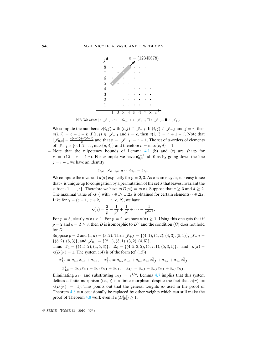

N.B. We write:  $\vert \in \mathcal{J}_{-,1}$ ,  $o \in \mathcal{J}_{0,0}$ ,  $+ \in \mathcal{J}_{+,1}$ ,  $\square \in \mathcal{J}_{-,2}$ , ■  $\in \mathcal{J}_{+,2}$ .

- *–* We compute the numbers:  $\nu(i, j)$  with  $(i, j) \in \mathcal{J}_{-,1}$ . If  $(i, j) \in \mathcal{J}_{-,1}$  and  $j = r$ , then  $y_j = c + 1 - i$ ,  $\ln(i, j) \in \mathcal{J}_{-1}$  and  $i = c$ , then  $\nu(i, j) = r + 1 - j$ . Note the number of  $j = c(c-1) + d(d-1)$  and that  $r = 1$  (i.g.  $j = r + 1 - j$ . Note the number  $|\mathcal{J}_{0,0}| = \frac{c(c-1)+d(d-1)}{2}$  and that  $n = |\mathcal{J}_{-1}| = r - 1$ . The set of  $\pi$ -orders of elements of  $\mathcal{J}_{-,1}$  is {0, 1, 2,..., max{c, d}} and therefore  $\nu = \max\{c, d\} - 1$ .<br>Note that the nilpotency bounds of I emma 4.1 (b) and (c) and  $\nu(i, j) = c + 1 - i$ ; if  $(i, j) \in \mathcal{J}_{-1}$  and  $i = c$ , then  $\nu(i, j) = r + 1 - j$ . Note that
- $\alpha$   $\chi$  -,1 is {0, 1, 2, ..., max{c, *af f* and therefore  $\nu$  = max{c, *af* f = 1.<br>
Note that the nilpotency bounds of Lemma [4.1](#page-12-0) (b) and (c) are sharp for  $\frac{1}{2}$  =  $\frac{1}{2}$ ,  $\frac{1}{2}$  =  $\frac{1}{2}$  =  $\frac{1}{2}$  =  $\frac{1}{2}$  =  $\frac{1}{2}$  =  $\frac{1}{2}$  =  $\frac{1}{2}$  =  $\frac{1}{2}$  =  $\frac{1}{2}$  =  $\frac{1}{2}$  =  $\frac{1}{2}$  =  $\frac{1}{2}$  =  $\frac{1}{2}$  =  $\frac{1}{2}$  =  $\frac{1}{2}$  =  $\frac{1}{2}$  =  $\frac{1}{$  $\pi = (12 \cdots r - 1 \ r)$ . For example, we have  $\mathfrak{n}_{0,0}^{c-1} \neq 0$  as by going down the line  $i = i - 1$  we have an identity.  $j = i - 1$  we have an identity:

$$
\bar{e}_{c,c-1}\bar{e}_{c-1,c-2}\cdots \bar{e}_{2,1}=\bar{e}_{c,1}.
$$

 $\begin{array}{ccc} \n c_{c,-1} & c_{c-1,c-2} & c_{2,1} & -c_{c,1}.\n \end{array}$ – We compute the invariant  $\kappa(\pi)$  explicitly for  $p = 2, 3$ . As  $\pi$  is an *r*-cycle, it is easy to see that  $-\frac{1}{2}$  is easy to see subset  $\{1,\ldots,c\}$ . Therefore we have  $\kappa(D[p]) = \kappa(\pi)$ . Suppose that  $c \geq 3$  and  $d \geq 2$ . Like for  $\gamma = (c + 1, c + 2, \ldots, r, c, 2)$ , we have that  $\pi$  is unique up to conjugation by a permutation of the set J that leaves invariant the The maximal value of  $\kappa(\gamma)$  with  $\gamma \in \Gamma_1 \cup \Delta_1$  is obtained for certain elements  $\gamma \in \Delta_1$ .

$$
\kappa(\gamma) = \frac{2}{p} + \frac{1}{p^2} + \frac{1}{p^3} + \cdots + \frac{1}{p^{d-1}}.
$$

For  $p = 3$ , clearly  $\kappa(\pi) < 1$ . For  $p = 2$ , we have  $\kappa(\pi) \ge 1$ . Using this one gets that if  $p = 2$  and  $c = d \geq 3$ , then D is isomorphic to  $D^{\vee}$  and the condition (C) does not hold for D.

suppose  $p = 2$  and  $(c, u) = (3, 2)$ . Then  $\mathcal{J}_{+,1} = (4, 1)$ ,<br>{(5, 2), (5, 3)}, and  $\mathcal{J}_{0,0} = \{(2, 1), (3, 1), (3, 2), (4, 5)\}.$ <br>Thus  $\Gamma_{-} = \{(4, 5, 2), (4, 5, 3)\}$ .  $\Delta_{-} = \{(4, 5, 3, 2), (5, 2, 3)\}$  $(3,1), (3,2), (4,5)$ .<br>  $(4, 5, 3, 2), (5, 2, 1), (5, 2, 2)$ - Suppose  $p = 2$  and  $(c, d) = (3, 2)$ . Then  $\mathcal{J}_{+,1} = \{(4, 1), (4, 2), (4, 3), (5, 1)\}, \mathcal{J}_{+,2} =$  $\kappa(D[p]) = 1$ . The system (14) is of the form (cf. (15)) Thus  $\Gamma_1 = \{(4, 5, 2), (4, 5, 3)\}, \quad \Delta_1 = \{(4, 5, 3, 2), (5, 2, 1), (5, 3, 1)\}, \quad \text{and} \quad \kappa(\pi) =$ 

$$
x_{2,1}^4 = a_{5,3}x_{4,5} + a_{4,3}, \quad x_{3,1}^2 = a_{5,2}x_{4,5} + a_{5,3}x_{4,5}x_{2,1}^2 + a_{4,2} + a_{4,3}x_{2,1}^2
$$
  

$$
x_{4,5}^2 = a_{5,2}x_{2,1} + a_{5,3}x_{3,1} + a_{5,1}, \quad x_{4,1} = a_{4,1} + a_{4,2}x_{2,1} + a_{4,3}x_{3,1}.
$$

Eliminating  $x_{4,1}$  and substituting  $x_{3,1} = t^{7/4}$ , Lemma [4.7](#page-17-0) implies that this system defines a finite morphism (i.e.,  $\zeta$  is a finite morphism despite the fact that  $\kappa(\pi)$  = proof of Theorem [4.8](#page-18-0) work even if  $\kappa(D[p]) \ge 1$ .  $\kappa(D[p]) = 1$ ). This points out that the general weights  $\mu_{\ell}$  used in the proof of Theorem [4.8](#page-18-0) can occasionally be replaced by other weights which can still make the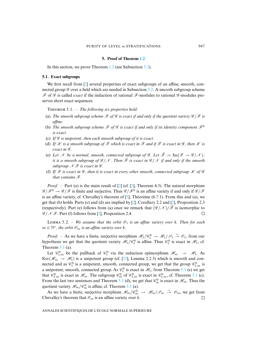## **5. Proof of Theorem [1.2](#page-2-0)**

<span id="page-23-0"></span>In this section, we prove Theorem [1.2](#page-2-0) (see Subsection [5.2\)](#page-24-0).

## **5.1. Exact subgroups**

We first recall from [\[2\]](#page-29-5) several properties of exact subgroups of an affine, smooth, connected group *G* over a field which are needed in Subsection [5.2.](#page-24-0) A smooth subgroup scheme *F* of *G* is called *exact* if the induction of rational *F*-modules to rational *G* -modules preserves short exact sequences.

<span id="page-23-1"></span>THEOREM 5.1. – *The following six properties hold*:

- (a) *The smooth subgroup scheme*  $\mathcal F$  *of*  $\mathcal G$  *is exact if and only if the quotient variety*  $\mathcal G/\mathcal F$  *is affine.*
- (b) The smooth subgroup scheme  $\mathcal F$  of  $\mathcal G$  is exact if and only if its identity component  $\mathcal F^0$ *is exact.*
- (c) *If G is unipotent, then each smooth subgroup of it is exact.*
- (d) If  $K$  is a smooth subgroup of  $\mathcal F$  which is exact in  $\mathcal F$  and if  $\mathcal F$  is exact in  $\mathcal G$ , then  $K$  is *exact in G .*
- (e) Let *N* be a normal, smooth, connected subgroup of *G*. Let  $\tilde{\mathscr{F}} := \text{Im}(\mathscr{F} \to \mathscr{G}/\mathscr{N})$ ; *it is a smooth subgroup of G* /*N . Then F*˜ *is exact in G* /*N if and only if the smooth subgroup N F is exact in G .*
- (f) If  $\mathcal F$  *is exact in*  $\mathcal G$ *, then it is exact in every other smooth, connected subgroup*  $\mathcal K$  *of*  $\mathcal G$ *that contains F.*

*Proof.* – Part (a) is the main result of [\[2\]](#page-29-5) (cf. [2], Theorem 4.3). The natural morphism  $\mathscr{G}/\mathscr{F}^0 \to \mathscr{G}/\mathscr{F}$  is finite and surjective. Thus  $\mathscr{G}/\mathscr{F}^0$  is an affine variety if and only if  $\mathscr{G}/\mathscr{F}$ is an affine variety, cf. Chevalley's theorem of  $[5]$ , Théorème (6.7.1). From this and (a), we get that (b) holds. Parts (c) and (d) are implied by [\[2\]](#page-29-5), Corollary 2.2 and [2], Proposition 2.3 (respectively). Part (e) follows from (a) once we remark that  $(\mathscr{G}/\mathscr{N})/\tilde{\mathscr{F}}$  is isomorphic to  $\mathscr{G}/\mathscr{N}\mathscr{F}$ . Part (f) follows from [\[2\]](#page-29-5), Proposition 2.4.  $\Box$ 

<span id="page-23-2"></span>LEMMA 5.2. – *We assume that the orbit*  $\mathcal{O}_1$  *is an affine variety over k. Then for each*  $m \in \mathbb{N}^*$ , the orbit  $\mathcal{O}_m$  is an affine variety over k.

*Proof.* – As we have a finite, surjective morphism  $\mathcal{H}_1/\mathcal{C}_1^0 \to \mathcal{H}_1/\mathcal{S}_1 \stackrel{\sim}{\to} \mathcal{O}_1$ , from our hypothesis we get that the quotient variety  $\mathcal{H}_1/\mathcal{C}_1^0$  is affine. Thus  $\mathcal{C}_1^0$  is exact in  $\mathcal{H}_1$ , cf. Theorem  $5.1$  (a).

Let  $\mathcal{C}_{1,m}^0$  be the pullback of  $\mathcal{C}_1^0$  via the reduction epimorphism  $\mathcal{H}_m \to \mathcal{H}_1$ . As Ker( $\mathcal{H}_m \rightarrow \mathcal{H}_1$ ) is a unipotent group (cf. [\[25\]](#page-30-7), Lemma 2.2.3) which is smooth and connected and as  $\mathscr{C}_1^0$  is a unipotent, smooth, connected group, we get that the group  $\mathscr{C}_{1,m}^0$  is a unipotent, smooth, connected group. As  $\mathcal{C}_1^0$  is exact in  $\mathcal{H}_1$ , from Theorem [5.1](#page-23-1) (e) we get that  $\mathcal{C}_{1,m}^0$  is exact in  $\mathcal{H}_m$ . The subgroup  $\mathcal{C}_m^0$  of  $\mathcal{C}_{1,m}^0$  is exact in  $\mathcal{C}_{1,m}^0$ , cf. Theorem [5.1](#page-23-1) (c). From the last two sentences and Theorem [5.1](#page-23-1) (d), we get that  $\mathcal{C}_m^0$  is exact in  $\mathcal{H}_m$ . Thus the quotient variety  $\mathcal{H}_m/\mathcal{C}_m^0$  is affine, cf. Theorem [5.1](#page-23-1) (a).

As we have a finite, surjective morphism  $\mathcal{H}_m/\mathcal{C}_m^0 \to \mathcal{H}_m/\mathcal{S}_m \stackrel{\sim}{\to} \mathcal{O}_m$ , we get from Chevalley's theorem that  $\mathcal{O}_m$  is an affine variety over k.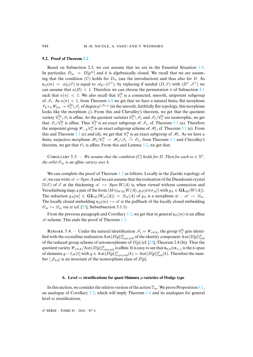## <span id="page-24-0"></span>**5.2. Proof of Theorem [1.2](#page-2-0)**

Based on Subsection 2.3, we can assume that we are in the Essential Situation [1.9.](#page-4-1) In particular,  $D_m = D[p^m]$  and k is algebraically closed. We recall that we are assuming that the condition (C) holds for  $D_m$  (see the introduction) and thus also for D. As  $\mathfrak{s}_D(m) = \mathscr{A}_D(\mathscr{E})$  is equal to  $\mathscr{A}_{D}(\mathscr{E}^{\vee})$ , by replacing if needed  $(D,\mathscr{E})$  with  $(D^{\vee}, \mathscr{E}^{\vee})$  we can assume that  $\kappa(D) < 1$ . Therefore we can choose the permutation  $\pi$  of Subsection [4.1](#page-11-1) such that  $\kappa(\pi) < 1$ . We also recall that  $\tilde{\mathcal{C}}_1^0$  is a connected, smooth, unipotent subgroup of  $\mathcal{I}_1$ . As  $\kappa(\pi) < 1$ , from Theorem [4.8](#page-18-0) we get that we have a natural finite, flat morphism  $\mathcal{V}_2\times_k \mathcal{W}_{0,k} \twoheadrightarrow \tilde{\mathscr{C}}^0_1 \backslash \mathcal{I}_1$  of degree  $p^{|\mathcal{J}_{0,0}|}$  (in the smooth, faithfully flat topology, this morphism looks like the morphism  $\zeta$ ). From this and Chevalley's theorem, we get that the quotient variety  $\tilde{\mathscr{C}}_1^0 \setminus \mathscr{I}_1$  is affine. As the quotient varieties  $\tilde{\mathscr{C}}_1^0 \setminus \mathscr{I}_1$  and  $\mathscr{I}_1/\tilde{\mathscr{C}}_1^0$  are isomorphic, we get that  $\mathscr{I}_1/\tilde{\mathscr{C}}_1^0$  is affine. Thus  $\tilde{\mathscr{C}}_1^0$  is an exact subgroup of  $\mathscr{I}_1$ , cf. Theorem [5.1](#page-23-1) (a). Therefore the unipotent group  $\mathcal{W}_{-,k}$  $\mathcal{C}_1^0$  is an exact subgroup scheme of  $\mathcal{H}_1$ , cf. Theorem [5.1](#page-23-1) (e). From this and Theorem [5.1](#page-23-1) (c) and (d), we get that  $\mathcal{C}_1^0$  is an exact subgroup of  $\mathcal{H}_1$ . As we have a finite, surjective morphism  $\mathcal{H}_1/\mathcal{C}_1^0 \to \mathcal{H}_1/\mathcal{S}_1 \stackrel{\sim}{\to} \mathcal{O}_1$ , from Theorem [5.1](#page-23-1) and Chevalley's theorem, we get that  $\mathcal{O}_1$  is affine. From this and Lemma [5.2,](#page-23-2) we get that:

<span id="page-24-2"></span>COROLLARY 5.3. – *We assume that the condition* (C) *holds for D. Then for each*  $m \in \mathbb{N}^*$ *, the orbit*  $\mathcal{O}_m$  *is an affine variety over k.* 

We can complete the proof of Theorem [1.2](#page-2-0) as follows. Locally in the Zariski topology of  $\mathscr A$ , we can write  $\mathscr A = \operatorname{Spec} A$  and we can assume that the evaluation of the Dieudonné crystal  $\mathbb{D}(\mathscr{E})$  of  $\mathscr{E}$  at the thickening  $\mathscr{A} \hookrightarrow$  Spec  $W(A)$  is, when viewed without connection and Verschiebung map, a pair of the form  $(M \otimes_{W(k)} W(A), g_A(\phi \otimes \sigma_A))$  with  $g_A \in GL_M(W(A)).$ The reduction  $g_A[m] \in GL_M(W_m(A)) = \mathscr{D}_m(A)$  of  $g_A$  is a morphism  $\varpi : \mathscr{A} \to \mathscr{D}_m$ . The locally closed embedding  $\mathfrak{s}_D(m) \hookrightarrow \mathscr{A}$  is the pullback of the locally closed embedding  $\mathscr{O}_m \hookrightarrow \mathscr{D}_m$  via  $\varpi$  (cf. [\[25\]](#page-30-7), Subsubsection 3.1.1).

From the previous paragraph and Corollary [5.3,](#page-24-2) we get that in general  $\epsilon_D(m)$  is an affine  $\mathscr A$ -scheme. This ends the proof of Theorem [1.2.](#page-2-0)

REMARK 5.4. – Under the natural identification  $\mathscr{I}_1 = \mathscr{W}_{+0,k}$ , the group  $\tilde{\mathscr{C}}_1^0$  gets identified with the crystalline realization  $\mathrm{Aut}(D[p])^0_\mathrm{crys,red}$  of the identity component  $\mathrm{Aut}(D[p])^0_\mathrm{red}$ of the reduced group scheme of automorphisms of  $D[p]$  (cf. [\[25\]](#page-30-7), Theorem 2.4 (b)). Thus the quotient variety  $\mathscr{W}_{+0,k}/\text{Aut}(D[p])^0_{\text{crys},\text{red}}$  is affine. It is easy to see that  $\mathfrak{n}_{0,0}\oplus\mathfrak{n}_{+,1}$  is the *k*-span of elements  $g - 1_M[1]$  with  $g \in Aut(D[p])^0_{\text{crys}, \text{red}}(k) = Aut(D[p])^0_{\text{red}}(k)$ . Therefore the number  $|\mathscr{J}_{0,0}|$  is an invariant of the isomorphism class of  $D[p]$ .

## **6. Level** m **stratifications for quasi Shimura** p**-varieties of Hodge type**

<span id="page-24-1"></span>In this section, we consider the relative version of the action  $\mathbb{T}_m$ . We prove Proposition [6.1,](#page-26-1) an analogue of Corollary [5.3,](#page-24-2) which will imply Theorem [1.6](#page-3-0) and its analogues for general level m stratifications.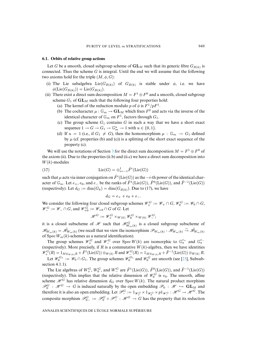## <span id="page-25-0"></span>**6.1. Orbits of relative group actions**

Let G be a smooth, closed subgroup scheme of  $GL_M$  such that its generic fibre  $G_{B(k)}$  is connected. Thus the scheme  $G$  is integral. Until the end we will assume that the following two axioms hold for the triple  $(M, \phi, G)$ :

- (i) The Lie subalgebra  $Lie(G_{B(k)})$  of  $G_{B(k)}$  is stable under  $\phi$ , i.e. we have  $\phi(\mathrm{Lie}(G_{B(k)})) = \mathrm{Lie}(G_{B(k)}).$
- (ii) There exist a direct sum decomposition  $M = F^1 \oplus F^0$  and a smooth, closed subgroup scheme  $G_1$  of  $GL_M$  such that the following four properties hold:
	- (a) The kernel of the reduction modulo p of  $\phi$  is  $F^1/pF^1$ .
	- (b) The cocharacter  $\mu : \mathbb{G}_m \to \mathbf{GL}_M$  which fixes  $F^0$  and acts via the inverse of the identical character of  $\mathbb{G}_m$  on  $F^1$ , factors through  $G_1$ .
	- (c) The group scheme  $G_1$  contains G in such a way that we have a short exact sequence  $1 \to G \to G_1 \to \mathbb{G}_m^u \to 1$  with  $u \in \{0, 1\}$ .
	- (d) If  $u = 1$  (i.e., if  $G_1 \neq G$ ), then the homomorphism  $\mu : \mathbb{G}_m \to G_1$  defined by  $\mu$  (cf. properties (b) and (c)) is a splitting of the short exact sequence of the property (c).

We will use the notations of Section [3](#page-9-0) for the direct sum decomposition  $M = F^1 \oplus F^0$  of the axiom (ii). Due to the properties (ii.b) and (ii.c) we have a direct sum decomposition into  $W(k)$ -modules

(17) 
$$
\operatorname{Lie}(G) = \bigoplus_{i=-1}^1 \tilde{F}^i(\operatorname{Lie}(G))
$$

such that  $\mu$  acts via inner conjugation on  $\tilde{F}^i(\text{Lie}(G))$  as the  $-i$ -th power of the identical character of  $\mathbb{G}_m$ . Let  $e_+$ ,  $e_0$ , and  $e_-$  be the ranks of  $\tilde{F}^1(\text{Lie}(G)), \tilde{F}^0(\text{Lie}(G)),$  and  $\tilde{F}^{-1}(\text{Lie}(G))$ (respectively). Let  $d_G := \dim(G_k) = \dim(G_{B(k)})$ . Due to (17), we have

$$
d_G = e_+ + e_0 + e_-.
$$

We consider the following four closed subgroup schemes  $\mathcal{W}_+^G := \mathcal{W}_+ \cap G$ ,  $\mathcal{W}_0^G := \mathcal{W}_0 \cap G$ , *W*<sup>*G*</sup> := *W*<sub>−</sub> ∩ *G*, and *W*<sub>+0</sub> := *W*<sub>+0</sub> ∩ *G* of *G*. Let

$$
\mathscr{H}^G:=\mathscr{W}^G_+\times_{W(k)}\mathscr{W}^G_0\times_{W(k)}\mathscr{W}^G_-;
$$

it is a closed subscheme of  $\mathscr{H}$  such that  $\mathscr{H}_{W_m(k)}^G$  is a closed subgroup subscheme of  $\mathscr{H}_{W_m(k)} = \tilde{\mathscr{H}}_{W_m(k)}$  (we recall that we view the isomorphism  $\mathscr{P}_{W_m(k)} : \mathscr{H}_{W_m(k)} \xrightarrow{\sim} \tilde{\mathscr{H}}_{W_m(k)}$ of  $Spec W_m(k)$ -schemes as a natural identification).

The group schemes  $\mathcal{W}_+^G$  and  $\mathcal{W}_-^G$  over Spec  $W(k)$  are isomorphic to  $\mathbb{G}_a^{e_+}$  and  $\mathbb{G}_a^{e_-}$ (respectively). More precisely, if R is a commutative  $W(k)$ -algebra, then we have identities  $\mathscr{W}_{+}^{G}(R) = 1_{M\otimes_{W(k)}R} + \tilde{F}^{1}(\mathrm{Lie}(G))\otimes_{W(k)}R$  and  $\mathscr{W}_{-}^{G}(R) = 1_{M\otimes_{W(k)}R} + \tilde{F}^{-1}(\mathrm{Lie}(G))\otimes_{W(k)}R$ . Let  $\mathcal{W}_0^{G_1} := \mathcal{W}_0 \cap G_1$ . The group schemes  $\mathcal{W}_0^{G_1}$  and  $\mathcal{W}_0^{G}$  are smooth (see [\[25\]](#page-30-7), Subsubsection 4.1.1).

The Lie algebras of  $W_+^G$ ,  $W_0^G$ , and  $W_-^G$  are  $\tilde{F}^1(\text{Lie}(G))$ ,  $\tilde{F}^0(\text{Lie}(G))$ , and  $\tilde{F}^{-1}(\text{Lie}(G))$ (respectively). This implies that the relative dimension of  $\mathcal{W}_0^G$  is  $e_0$ . The smooth, affine scheme  $\mathcal{H}^G$  has relative dimension  $d_G$  over Spec  $W(k)$ . The natural product morphism  $\mathcal{P}_0^G$  :  $\mathcal{H}^G \to G$  is induced naturally by the open embedding  $\mathcal{P}_0$  :  $\mathcal{H} \hookrightarrow GL_M$  and therefore it is also an open embedding. Let  $\mathcal{P}_-^G := 1_{\mathcal{W}_+^G} \times 1_{\mathcal{W}_0^G} \times p1_{\mathcal{W}_-^G} : \mathcal{H}^G \to \mathcal{H}^G$ . The composite morphism  $\mathcal{P}_{0-}^G := \mathcal{P}_0^G \circ \mathcal{P}_-^G : \mathcal{H}^G \to G$  has the property that its reduction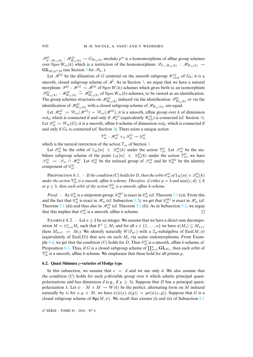$\mathscr{P}_{0-,W_m(k)}^G$  :  $\mathscr{H}_{W_m(k)}^G \to G_{W_m(k)}$  modulo  $p^m$  is a homomorphism of affine group schemes over  $Spec(W_m(k))$  which is a restriction of the homomorphism  $\mathscr{P}_{0-,W_m(k)}$  :  $\mathscr{H}_{W_m(k)} \to$  $GL_{M/p^mM}$  (see Section [3](#page-9-0) for  $\mathscr{P}_{0-}$ ).

Let  $\tilde{\mathcal{H}}^G$  be the dilatation of G centered on the smooth subgroup  $\mathcal{W}^G_{+0,k}$  of  $G_k$ ; it is a smooth, closed subgroup scheme of  $\tilde{\mathcal{H}}$ . As in Section [3,](#page-9-0) we argue that we have a natural morphism  $\mathcal{P}^G : \mathcal{H}^G \to \tilde{\mathcal{H}}^G$  of Spec  $W(k)$ -schemes which gives birth to an isomorphism  $\mathscr{P}_{W_m(k)}^G$  :  $\mathscr{H}_{W_m(k)}^G$   $\stackrel{\sim}{\to}$   $\mathscr{H}_{W_m(k)}^G$  of Spec  $W_m(k)$ -schemes, to be viewed as an identification. The group schemes structures on  $\mathcal{H}_{W_m(k)}^G$  induced via the identification  $\mathcal{P}_{W_m(k)}^G$  or via the identification of  $\mathscr{H}_{W_m(k)}^G$  with a closed subgroup scheme of  $\mathscr{H}_{W_m(k)},$  are equal.

Let  $\mathcal{H}_m^G := \mathbb{W}_m(\mathcal{H}^G) = \mathbb{W}_m(\tilde{\mathcal{H}}^G)$ ; it is a smooth, affine group over k of dimension  $md_G$  which is connected if and only if  $\mathcal{H}_k^G$  (equivalently  $\mathcal{W}_{0,k}^G$ ) is connected (cf. Section [3\)](#page-9-0). Let  $\mathscr{D}_m^G := \mathbb{W}_m(G)$ ; it is a smooth, affine k-scheme of dimension  $md_G$  which is connected if and only if  $G_k$  is connected (cf. Section [3\)](#page-9-0). There exists a unique action

$$
\mathbb{T}_m^G: \mathcal{H}_m^G \times_k \mathcal{D}_m^G \to \mathcal{D}_m^G
$$

which is the natural restriction of the action  $\mathbb{T}_m$  of Section [3.](#page-9-0)

Let  $\mathcal{O}_m^G$  be the orbit of  $1_M[m] \in \mathcal{D}_m^G(k)$  under the action  $\mathbb{T}_m^G$ . Let  $\mathcal{S}_m^G$  be the stabilizer subgroup scheme of the point  $1_M[m] \in \mathscr{D}_m^G(k)$  under the action  $\mathbb{T}_m^G$ ; we have  $\mathscr{S}_m^G := \mathscr{S}_m \cap \mathscr{H}_m^G$ . Let  $\mathscr{C}_m^G$  be the reduced group of  $\mathscr{S}_m^G$  and let  $\mathscr{C}_m^G$  be the identity component of  $\mathscr{C}_m^G$ .

<span id="page-26-1"></span>PROPOSITION 6.1. – *If the condition* (C) *holds for D*, *then the orbit*  $\mathcal{O}_m^G$  of  $1_M[m] \in \mathcal{D}_m^G(k)$ under the action  $\mathbb{T}_m^G$  is a smooth, affine k-scheme. Therefore, if either  $p=3$  and  $\min\{c,d\}\leq 6$ *or*  $p \geq 5$ , then each orbit of the action  $\mathbb{T}_m^G$  is a smooth, affine k-scheme.

*Proof.* – As  $\mathcal{C}_m^0$  is a unipotent group,  $\mathcal{C}_m^{0G}$  is exact in  $\mathcal{C}_m^0$  (cf. Theorem [5.1](#page-23-1) (c)). From this and the fact that  $\mathcal{C}_m^0$  is exact in  $\mathcal{H}_m$  (cf. Subsection [5.2\)](#page-24-0), we get that  $\mathcal{C}_m^{0G}$  is exact in  $\mathcal{H}_m$  (cf. Theorem [5.1](#page-23-1) (d)) and thus also in  $\mathcal{H}_m^G$  (cf. Theorem 5.1 (f)). As in Subsection [5.2,](#page-24-0) we argue that this implies that  $\mathcal{O}_m^G$  is a smooth, affine *k*-scheme.  $\Box$ 

<span id="page-26-2"></span>EXAMPLE 6.2. – Let  $a \ge 2$  be an integer. We assume that we have a direct sum decomposition  $M = \bigoplus_{s=1}^{a} M_s$  such that  $F^1 \subseteq M_1$  and for all  $s \in \{1, ..., a\}$  we have  $\phi(M_s) \subseteq M_{s+1}$ (here  $M_{a+1} := M_1$ ). We identify naturally  $W(\mathbb{F}_{p^a})$  with a  $\mathbb{Z}_p$ -subalgebra of End $(M, \phi)$ (equivalently of  $\text{End}(D)$ ) that acts on each  $M_s$  via scalar endomorphisms. From Exam-ple [4.4,](#page-15-0) we get that the condition (C) holds for D. Thus  $\mathcal{O}_m^G$  is a smooth, affine k-scheme, cf. Proposition [6.1.](#page-26-1) Thus, if G is a closed subgroup scheme of  $\prod_{s=1}^{a} GL_{M_s}$ , then each orbit of  $\mathbb{T}_m^G$  is a smooth, affine *k*-scheme. We emphasize that these hold for all primes *p*.

## <span id="page-26-0"></span>**6.2. Quasi Shimura** p**-varieties of Hodge type**

In this subsection, we assume that  $c = d$  and we use only d. We also assume that the condition (C) holds for each *p*-divisible group over k which admits principal quasipolarizations and has dimension d (e.g., if  $p > 5$ ). Suppose that D has a principal quasipolarization  $\lambda$ . Let  $\psi : M \times M \to W(k)$  be the perfect, alternating form on M induced naturally by  $\lambda$ ; for  $x, y \in M$ , we have  $\psi(\phi(x), \phi(y)) = p\sigma(\psi(x, y))$ . Suppose that G is a closed subgroup scheme of  $\text{Sp}(M, \psi)$ . We recall that axioms (i) and (ii) of Subsection [6.1](#page-25-0)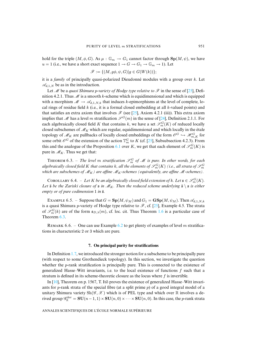hold for the triple  $(M, \phi, G)$ . As  $\mu : \mathbb{G}_m \to G_1$  cannot factor through  $\text{Sp}(M, \psi)$ , we have  $u = 1$  (i.e., we have a short exact sequence  $1 \rightarrow G \rightarrow G_1 \rightarrow \mathbb{G}_m \rightarrow 1$ ). Let

$$
\mathscr{F} := \{ (M, g\phi, \psi, G) | g \in G(W(k)) \};
$$

it is a *family* of principally quasi-polarized Dieudonné modules with a group over k. Let  $\mathscr{A}_{d,1,N}$  be as in the introduction.

Let *M* be a *quasi Shimura* p*-variety of Hodge type relative to F* in the sense of [\[25\]](#page-30-7), Definition 4.2.1. Thus  $\mathcal M$  is a smooth k-scheme which is equidimensional and which is equipped with a morphism  $\mathcal{M} \to \mathcal{A}_{d,1,N,k}$  that induces k-epimorphisms at the level of complete, local rings of residue field  $k$  (i.e., it is a formal closed embedding at all  $k$ -valued points) and that satisfies an extra axiom that involves  $\mathscr F$  (see [\[25\]](#page-30-7), Axiom 4.2.1 (iii)). This extra axiom implies that *M* has a level m stratification  $\mathscr{S}^G(m)$  in the sense of [\[24\]](#page-30-0), Definition 2.1.1. For each algebraically closed field K that contains k, we have a set  $\mathscr{S}_m^G(K)$  of reduced locally closed subschemes of  $\mathcal{M}_K$  which are regular, equidimensional and which locally in the étale topology of  $\mathcal{M}_K$  are pullbacks of locally closed embeddings of the form  $\mathcal{O}^G \hookrightarrow \mathcal{H}_{m,K}^G$  for some orbit  $\mathscr{O}^G$  of the extension of the action  $\mathbb{T}_m^G$  to K (cf. [\[25\]](#page-30-7), Subsubsection 4.2.3). From this and the analogue of the Proposition [6.1](#page-26-1) over K, we get that each element of  $\mathscr{S}_{m}^{G}(K)$  is pure in  $\mathcal{M}_K$ . Thus we get that:

<span id="page-27-0"></span>**THEOREM** 6.3. – *The level m stratification*  $\mathscr{S}_m^G$  *of M is pure. In other words, for each* algebraically closed field  $K$  that contains  $k$ , all the elements of  $\mathscr{S}^G_m(K)$  (i.e., all strata of  $\mathscr{S}^G_m$ *which are subschemes of*  $M_K$ *) are affine*  $M_K$ -schemes (equivalently, are affine  $M$ -schemes).

COROLLARY 6.4. – Let K be an algebraically closed field extension of k. Let  $\mathfrak{s} \in \mathcal{S}_m^G(K)$ . *Let*  $\bar{\mathbf{s}}$  *be the Zariski closure of*  $\mathbf{s}$  *in*  $M_K$ *. Then the reduced scheme underlying*  $\bar{\mathbf{s}} \setminus \mathbf{s}$  *is either empty or of pure codimension* 1 *in*  $\bar{s}$ *.* 

<span id="page-27-1"></span>EXAMPLE 6.5. – Suppose that  $G = Sp(M, \psi_M)$  and  $G_1 = \mathbf{GSp}(M, \psi_M)$ . Then  $\mathscr{A}_{d,1,N,k}$ is a quasi Shimura *p*-variety of Hodge type relative to  $\mathcal{F}$ , cf. [\[25\]](#page-30-7), Example 4.5. The strata of  $\mathscr{S}_m^G(k)$  are of the form  $\mathfrak{s}_{D,\lambda}(m)$ , cf. loc. cit. Thus Theorem [1.6](#page-3-0) is a particular case of Theorem [6.3.](#page-27-0)

REMARK 6.6. – One can use Example [6.2](#page-26-2) to get plenty of examples of level m stratifications in characteristic 2 or 3 which are pure.

#### **7. On principal purity for stratifications**

<span id="page-27-2"></span>In Definition [1.7,](#page-3-2) we introduced the stronger notion for a subscheme to be principally pure (with respect to some Grothendieck topology). In this section, we investigate the question whether the *p*-rank stratification is principally pure. This is connected to the existence of generalized Hasse–Witt invariants, i.e. to the local existence of functions  $f$  such that a stratum is defined in its scheme-theoretic closure as the locus where f is invertible.

In  $[10]$ , Theorem on p. 1567, T. Ito proves the existence of generalized Hasse–Witt invariants for  $p$ -rank strata of the special fibre (at a split prime  $p$ ) of a good integral model of a unitary Shimura variety  $\text{Sh}(\mathscr{G}, \mathscr{X})$  which is of PEL type and which over  $\mathbb R$  involves a derived group  $\mathscr{G}_{\mathbb{R}}^{\text{der}} = SU(n-1,1) \times SU(n,0) \times \cdots \times SU(n,0)$ . In this case, the *p*-rank strata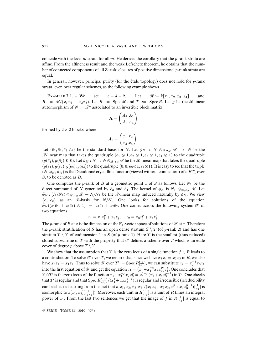coincide with the level m strata for all m. He derives the corollary that the p-rank strata are affine. From the affineness result and the weak Lefschetz theorem, he obtains that the number of connected components of all Zariski closures of positive dimensional p-rank strata are equal.

In general, however, principal purity (for the étale topology) does not hold for  $p$ -rank strata, even over regular schemes, as the following example shows.

<span id="page-28-0"></span>EXAMPLE 7.1. – We set  $c = d = 2$ . Let  $\Re := k[[x_1, x_2, x_3, x_4]]$  and  $R := \mathcal{R}/(x_1x_4 - x_2x_3)$ . Let  $S := \text{Spec } \mathcal{R}$  and  $T := \text{Spec } R$ . Let g be the  $\mathcal{R}$ -linear automorphism of  $N := \mathcal{R}^4$  associated to an invertible block matrix

$$
\mathbf{A} = \begin{pmatrix} A_1 & A_2 \\ A_3 & A_4 \end{pmatrix}
$$

formed by  $2 \times 2$  blocks, where

$$
A_1 = \begin{pmatrix} x_1 & x_2 \\ x_3 & x_4 \end{pmatrix}.
$$

Let  $\{\bar{e}_1, \bar{e}_2, \bar{e}_3, \bar{e}_4\}$  be the standard basis for N. Let  $\phi_N$  : N  $\otimes_{\mathscr{R}, \sigma_{\mathscr{R}}} \mathscr{R} \to N$  be the  $\mathscr{R}$ -linear map that takes the quadruple ( $\bar{e}_1 \otimes 1, \bar{e}_2 \otimes 1, \bar{e}_3 \otimes 1, \bar{e}_4 \otimes 1$ ) to the quadruple  $(g(\bar{e}_1), g(\bar{e}_2), 0, 0)$ . Let  $\vartheta_N : N \to N \otimes_{\mathscr{R}, \sigma_{\mathscr{R}}} \mathscr{R}$  be the  $\mathscr{R}$ -linear map that takes the quadruple  $(g(\bar{e}_1), g(\bar{e}_2), g(\bar{e}_3), g(\bar{e}_4))$  to the quadruple  $(0, 0, \bar{e}_3 \otimes 1, \bar{e}_4 \otimes 1)$ . It is easy to see that the triple  $(N, \phi_N, \vartheta_N)$  is the Dieudonné crystalline functor (viewed without connection) of a  $BT_1$  over S, to be denoted as B.

One computes the p-rank of B at a geometric point x of S as follows. Let  $N_1$  be the direct summand of N generated by  $\bar{e}_3$  and  $\bar{e}_4$ . The kernel of  $\phi_N$  is  $N_1 \otimes_{\mathscr{R},\sigma_{\mathscr{R}}} \mathscr{R}$ . Let  $\bar{\phi}_N : (N/N_1) \otimes_{\mathscr{R},\sigma_{\mathscr{R}}} \mathscr{R} \to N/N_1$  be the  $\mathscr{R}$ -linear map induced naturally by  $\phi_N$ . We view  $\{\bar{e}_1,\bar{e}_2\}$  as an  $\mathscr{R}$ -basis for  $N/N_1$ . One looks for solutions of the equation  $\phi_N((z_1\bar{e}_1 + z_2\bar{e}_2) \otimes 1) = z_1\bar{e}_1 + z_2\bar{e}_2$ . One comes across the following system *Y* of two equations

$$
z_1 = x_1 z_1^p + x_2 z_2^p
$$
,  $z_2 = x_3 z_1^p + x_4 z_2^p$ .

The p-rank of B at x is the dimension of the  $\mathbb{F}_p$ -vector space of solutions of  $\mathscr Y$  at x. Therefore the p-rank stratification of S has an open dense stratum  $S \setminus T$  (of p-rank 2) and has one stratum  $T \setminus Y$  of codimension 1 in S (of p-rank 1). Here Y is the smallest (thus reduced) closed subscheme of T with the property that  $\mathscr Y$  defines a scheme over T which is an étale cover of degree p above  $T \setminus Y$ .

We show that the assumption that Y is the zero locus of a single function  $f \in R$  leads to a contradiction. To solve  $\mathscr Y$  over T, we remark that since we have  $x_1x_4 = x_2x_3$  in R, we also have  $x_3z_1 = x_1z_2$ . Thus to solve  $\mathscr Y$  over  $T' := \text{Spec } R[\frac{1}{x_1}]$ , we can substitute  $z_2 = x_1^{-1}x_3z_1$ into the first equation of  $\mathscr Y$  and get the equation  $z_1 = (x_1 + x_1^{-p} x_2 x_3^p) z_1^p$ . One concludes that  $Y \cap T'$  is the zero locus of the function  $x_1 + x_1^{-p} x_2 x_3^p = x_1^{1-p} (x_1^p + x_4 x_3^{p-1})$  in  $T'$ . One checks that  $T'$  is regular and that  $\mathrm{Spec}\, R[\frac{1}{x_1}]/(x_1^p+x_4x_3^{p-1})$  is regular and irreducible (irreducibility can be checked starting from the fact that  $k[x_1, x_2, x_3, x_4]/(x_1x_4 - x_2x_3, x_1^p + x_4x_3^{p-1})[\frac{1}{x_1}]$  is isomorphic to  $k[x_1, x_3]$   $\left[\frac{1}{x_1x_3}\right]$ ). Moreover, each unit in  $R\left[\frac{1}{x_1}\right]$  is a unit of R times an integral power of  $x_1$ . From the last two sentences we get that the image of f in  $R[\frac{1}{x_1}]$  is equal to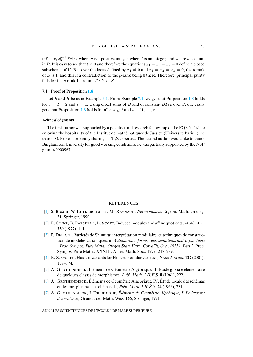$(x_1^p + x_4 x_3^{p-1})^v x_1^t u$ , where v is a positive integer, where t is an integer, and where u is a unit in R. It is easy to see that  $t \ge 0$  and therefore the equations  $x_1 = x_3 = x_2 = 0$  define a closed subscheme of Y. But over the locus defined by  $x_4 \neq 0$  and  $x_1 = x_2 = x_3 = 0$ , the p-rank of B is 1, and this is a contradiction to the p-rank being 0 there. Therefore, principal purity fails for the *p*-rank 1 stratum  $T \setminus Y$  of  $S$ .

## **7.1. Proof of Proposition [1.8](#page-4-0)**

Let S and B be as in Example [7.1.](#page-28-0) From Example [7.1,](#page-28-0) we get that Proposition [1.8](#page-4-0) holds for  $c = d = 2$  and  $s = 1$ . Using direct sums of B and of constant  $BT_1$ 's over S, one easily gets that Proposition [1.8](#page-4-0) holds for all  $c, d \ge 2$  and  $s \in \{1, \ldots, c-1\}.$ 

## **Acknowledgments**

The first author was supported by a postdoctoral research fellowship of the FQRNT while enjoying the hospitality of the Institut de mathématiques de Jussieu (Université Paris 7); he thanks O. Brinon for kindly sharing his T<sub>E</sub>X expertise. The second author would like to thank Binghamton University for good working conditions; he was partially supported by the NSF grant #0900967.

## REFERENCES

- <span id="page-29-4"></span>[\[1\]](http://smf.emath.fr/Publications/AnnalesENS/4_43/html/ens_ann-sc_43_6.html#1) S. BOSCH, W. LÜTKEBOHMERT, M. RAYNAUD, *Néron models*, Ergebn. Math. Grenzg. **21**, Springer, 1990.
- <span id="page-29-5"></span>[\[2\]](http://smf.emath.fr/Publications/AnnalesENS/4_43/html/ens_ann-sc_43_6.html#2) E. Cʟɪɴ, B. Pʀʜʟʟ, L. S, Induced modules and affine quotients, *Math. Ann.* **230** (1977), 1–14.
- <span id="page-29-3"></span>[\[3\]](http://smf.emath.fr/Publications/AnnalesENS/4_43/html/ens_ann-sc_43_6.html#3) P. Dʟɪɢɴ, Variétés de Shimura: interprétation modulaire, et techniques de construction de modèles canoniques, in *Automorphic forms, representations and* L*-functions (Proc. Sympos. Pure Math., Oregon State Univ., Corvallis, Ore., 1977), Part 2*, Proc. Sympos. Pure Math., XXXIII, Amer. Math. Soc., 1979, 247–289.
- <span id="page-29-0"></span>[\[4\]](http://smf.emath.fr/Publications/AnnalesENS/4_43/html/ens_ann-sc_43_6.html#4) E. Z. Gʀɴ, Hasse invariants for Hilbert modular varieties,*Israel J. Math.* **122** (2001), 157–174.
- <span id="page-29-6"></span>[\[5\]](http://smf.emath.fr/Publications/AnnalesENS/4_43/html/ens_ann-sc_43_6.html#5) A. GROTHENDIECK, Éléments de Géométrie Algébrique. II. Étude globale élémentaire de quelques classes de morphismes, *Publ. Math. I.H.É.S.* **8** (1961), 222.
- <span id="page-29-2"></span>[\[6\]](http://smf.emath.fr/Publications/AnnalesENS/4_43/html/ens_ann-sc_43_6.html#6) A. GROTHENDIECK, Éléments de Géométrie Algébrique. IV. Étude locale des schémas et des morphismes de schémas. II, *Publ. Math. I.H.É.S.* **24** (1965), 231.
- <span id="page-29-1"></span>[\[7\]](http://smf.emath.fr/Publications/AnnalesENS/4_43/html/ens_ann-sc_43_6.html#7) A. Gʀʜɴɪ, J. Dɪɴɴ, *Éléments de Géométrie Algébrique, I. Le langage des schémas*, Grundl. der Math. Wiss. **166**, Springer, 1971.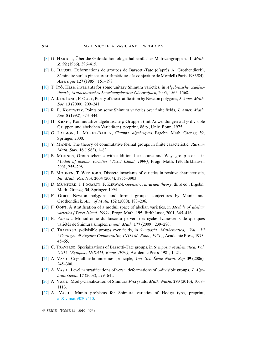- <span id="page-30-13"></span>[\[8\]](http://smf.emath.fr/Publications/AnnalesENS/4_43/html/ens_ann-sc_43_6.html#8) G. Hʀʀ, Über die Galoiskohomologie halbeinfacher Matrizengruppen. II, *Math. Z.* **92** (1966), 396–415.
- <span id="page-30-9"></span>[\[9\]](http://smf.emath.fr/Publications/AnnalesENS/4_43/html/ens_ann-sc_43_6.html#9) L. Iʟʟɪ, Déformations de groupes de Barsotti-Tate (d'après A. Grothendieck), Séminaire sur les pinceaux arithmétiques : la conjecture de Mordell (Paris, 1983/84), *Astérisque* **127** (1985), 151–198.
- <span id="page-30-3"></span>[\[10\]](http://smf.emath.fr/Publications/AnnalesENS/4_43/html/ens_ann-sc_43_6.html#10) T. I<sub>TO</sub>, Hasse invariants for some unitary Shimura varieties, in *Algebraische Zahlentheorie, Mathematisches Forschungsinstitut Oberwolfach*, 2005, 1565–1568.
- <span id="page-30-2"></span>[\[11\]](http://smf.emath.fr/Publications/AnnalesENS/4_43/html/ens_ann-sc_43_6.html#11) A. J. DE JONG, F. OORT, Purity of the stratification by Newton polygons, *J. Amer. Math. Soc.* **13** (2000), 209–241.
- <span id="page-30-11"></span>[\[12\]](http://smf.emath.fr/Publications/AnnalesENS/4_43/html/ens_ann-sc_43_6.html#12) R. E. KOTTWITZ, Points on some Shimura varieties over finite fields, *J. Amer. Math. Soc.* **5** (1992), 373–444.
- <span id="page-30-16"></span>[\[13\]](http://smf.emath.fr/Publications/AnnalesENS/4_43/html/ens_ann-sc_43_6.html#13) H. KRAFT, Kommutative algebraische  $p$ -Gruppen (mit Anwendungen auf  $p$ -divisible Gruppen und abelschen Varietäten), preprint, 86 p., Univ. Bonn, 1975.
- <span id="page-30-10"></span>[\[14\]](http://smf.emath.fr/Publications/AnnalesENS/4_43/html/ens_ann-sc_43_6.html#14) G. Lɴ, L. Mʀ-Bɪʟʟʏ, *Champs algébriques*, Ergebn. Math. Grenzg. **39**, Springer, 2000.
- <span id="page-30-1"></span>[\[15\]](http://smf.emath.fr/Publications/AnnalesENS/4_43/html/ens_ann-sc_43_6.html#15) Y. Mɴɪɴ, The theory of commutative formal groups in finite caracteristic, *Russian Math. Surv.* **18** (1963), 1–83.
- <span id="page-30-17"></span>[\[16\]](http://smf.emath.fr/Publications/AnnalesENS/4_43/html/ens_ann-sc_43_6.html#16) B. Mɴɴ, Group schemes with additional structures and Weyl group cosets, in *Moduli of abelian varieties (Texel Island, 1999)*, Progr. Math. **195**, Birkhäuser, 2001, 255–298.
- <span id="page-30-19"></span>[\[17\]](http://smf.emath.fr/Publications/AnnalesENS/4_43/html/ens_ann-sc_43_6.html#17) B. MOONEN, T. WEDHORN, Discrete invariants of varieties in positive characteristic, *Int. Math. Res. Not.* **2004** (2004), 3855–3903.
- <span id="page-30-6"></span>[\[18\]](http://smf.emath.fr/Publications/AnnalesENS/4_43/html/ens_ann-sc_43_6.html#18) D. Mʀ, J. Fɢʀʏ, F. Kɪʀɴ, *Geometric invariant theory*, third ed., Ergebn. Math. Grenzg. **34**, Springer, 1994.
- <span id="page-30-15"></span>[\[19\]](http://smf.emath.fr/Publications/AnnalesENS/4_43/html/ens_ann-sc_43_6.html#19) F. Oort, Newton polygons and formal groups: conjectures by Manin and Grothendieck, *Ann. of Math.* **152** (2000), 183–206.
- <span id="page-30-8"></span>[\[20\]](http://smf.emath.fr/Publications/AnnalesENS/4_43/html/ens_ann-sc_43_6.html#20) F. Oʀ, A stratification of a moduli space of abelian varieties, in *Moduli of abelian varieties (Texel Island, 1999)*, Progr. Math. **195**, Birkhäuser, 2001, 345–416.
- <span id="page-30-4"></span>[\[21\]](http://smf.emath.fr/Publications/AnnalesENS/4_43/html/ens_ann-sc_43_6.html#21) B. PASCAL, Monodromie du faisceau pervers des cycles évanescents de quelques variétés de Shimura simples, *Invent. Math.* **177** (2009), 239–280.
- <span id="page-30-5"></span>[\[22\]](http://smf.emath.fr/Publications/AnnalesENS/4_43/html/ens_ann-sc_43_6.html#22) C. Tʀʀ, p-divisible groups over fields, in *Symposia Mathematica, Vol. XI (Convegno di Algebra Commutativa, INDAM, Rome, 1971)*, Academic Press, 1973, 45–65.
- <span id="page-30-14"></span>[\[23\]](http://smf.emath.fr/Publications/AnnalesENS/4_43/html/ens_ann-sc_43_6.html#23) C. TRAVERSO, Specializations of Barsotti-Tate groups, in *Symposia Mathematica, Vol. XXIV (Sympos., INDAM, Rome, 1979)*, Academic Press, 1981, 1–21.
- <span id="page-30-0"></span>[\[24\]](http://smf.emath.fr/Publications/AnnalesENS/4_43/html/ens_ann-sc_43_6.html#24) A. Vɪ, Crystalline boundedness principle, *Ann. Sci. École Norm. Sup.* **39** (2006), 245–300.
- <span id="page-30-7"></span>[\[25\]](http://smf.emath.fr/Publications/AnnalesENS/4_43/html/ens_ann-sc_43_6.html#25) A. VASIU, Level m stratifications of versal deformations of p-divisible groups, *J. Algebraic Geom.* **17** (2008), 599–641.
- <span id="page-30-18"></span>[\[26\]](http://smf.emath.fr/Publications/AnnalesENS/4_43/html/ens_ann-sc_43_6.html#26) A. VASIU, Mod p classification of Shimura F-crystals, *Math. Nachr.* **283** (2010), 1068– 1113.
- <span id="page-30-12"></span>[\[27\]](http://smf.emath.fr/Publications/AnnalesENS/4_43/html/ens_ann-sc_43_6.html#27) A. VASIU, Manin problems for Shimura varieties of Hodge type, preprint, [arXiv:math/0209410.](http://arxiv.org/abs/math/0209410)